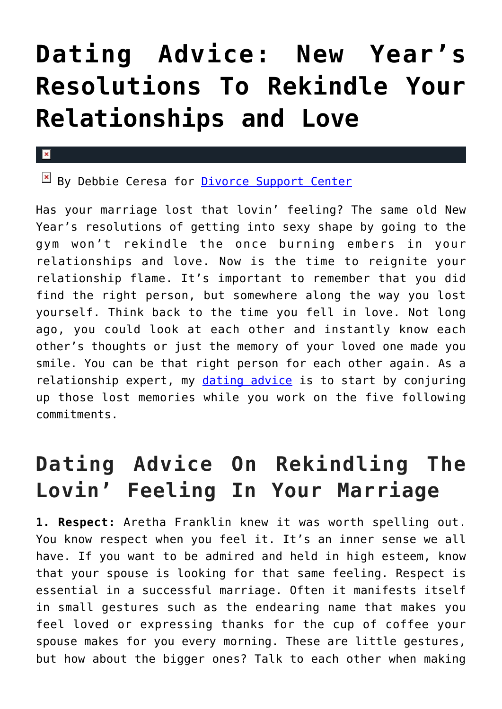# **[Dating Advice: New Year's](https://cupidspulse.com/104118/dating-advice-new-years-resolutions-rekindle-relationships-and-love/) [Resolutions To Rekindle Your](https://cupidspulse.com/104118/dating-advice-new-years-resolutions-rekindle-relationships-and-love/) [Relationships and Love](https://cupidspulse.com/104118/dating-advice-new-years-resolutions-rekindle-relationships-and-love/)**

#### $\mathbf{x}$

 $B$  By Debbie Ceresa for [Divorce Support Center](http://www.divorcesupportcenter.com/)

Has your marriage lost that lovin' feeling? The same old New Year's resolutions of getting into sexy shape by going to the gym won't rekindle the once burning embers in your relationships and love. Now is the time to reignite your relationship flame. It's important to remember that you did find the right person, but somewhere along the way you lost yourself. Think back to the time you fell in love. Not long ago, you could look at each other and instantly know each other's thoughts or just the memory of your loved one made you smile. You can be that right person for each other again. As a relationship expert, my *dating advice* is to start by conjuring up those lost memories while you work on the five following commitments.

## **Dating Advice On Rekindling The Lovin' Feeling In Your Marriage**

**1. Respect:** Aretha Franklin knew it was worth spelling out. You know respect when you feel it. It's an inner sense we all have. If you want to be admired and held in high esteem, know that your spouse is looking for that same feeling. Respect is essential in a successful marriage. Often it manifests itself in small gestures such as the endearing name that makes you feel loved or expressing thanks for the cup of coffee your spouse makes for you every morning. These are little gestures, but how about the bigger ones? Talk to each other when making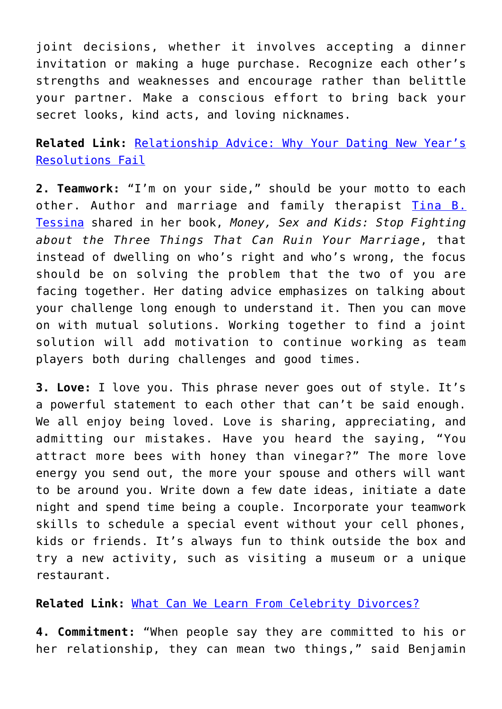joint decisions, whether it involves accepting a dinner invitation or making a huge purchase. Recognize each other's strengths and weaknesses and encourage rather than belittle your partner. Make a conscious effort to bring back your secret looks, kind acts, and loving nicknames.

**Related Link:** [Relationship Advice: Why Your Dating New Year's](http://cupidspulse.com/102918/relationship-advice-new-years-dating-resolutions/) [Resolutions Fail](http://cupidspulse.com/102918/relationship-advice-new-years-dating-resolutions/)

**2. Teamwork:** "I'm on your side," should be your motto to each other. Author and marriage and family therapist [Tina B.](http://www.tinatessina.com/) [Tessina](http://www.tinatessina.com/) shared in her book, *Money, Sex and Kids: Stop Fighting about the Three Things That Can Ruin Your Marriage*, that instead of dwelling on who's right and who's wrong, the focus should be on solving the problem that the two of you are facing together. Her dating advice emphasizes on talking about your challenge long enough to understand it. Then you can move on with mutual solutions. Working together to find a joint solution will add motivation to continue working as team players both during challenges and good times.

**3. Love:** I love you. This phrase never goes out of style. It's a powerful statement to each other that can't be said enough. We all enjoy being loved. Love is sharing, appreciating, and admitting our mistakes. Have you heard the saying, "You attract more bees with honey than vinegar?" The more love energy you send out, the more your spouse and others will want to be around you. Write down a few date ideas, initiate a date night and spend time being a couple. Incorporate your teamwork skills to schedule a special event without your cell phones, kids or friends. It's always fun to think outside the box and try a new activity, such as visiting a museum or a unique restaurant.

**Related Link:** [What Can We Learn From Celebrity Divorces?](http://cupidspulse.com/102982/relationship-advice-celebrity-divorces/)

**4. Commitment:** "When people say they are committed to his or her relationship, they can mean two things," said Benjamin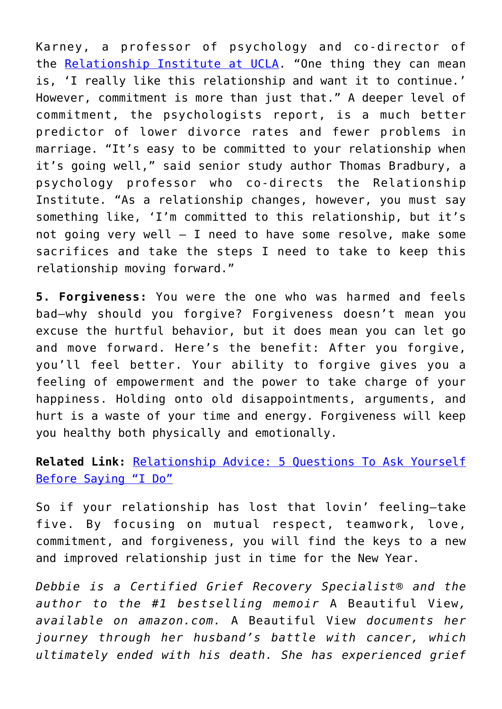Karney, a professor of psychology and co-director of the [Relationship Institute at UCLA](http://www.uclarelationshipinstitute.org/). "One thing they can mean is, 'I really like this relationship and want it to continue.' However, commitment is more than just that." A deeper level of commitment, the psychologists report, is a much better predictor of lower divorce rates and fewer problems in marriage. "It's easy to be committed to your relationship when it's going well," said senior study author Thomas Bradbury, a psychology professor who co-directs the Relationship Institute. "As a relationship changes, however, you must say something like, 'I'm committed to this relationship, but it's not going very well — I need to have some resolve, make some sacrifices and take the steps I need to take to keep this relationship moving forward."

**5. Forgiveness:** You were the one who was harmed and feels bad—why should you forgive? Forgiveness doesn't mean you excuse the hurtful behavior, but it does mean you can let go and move forward. Here's the benefit: After you forgive, you'll feel better. Your ability to forgive gives you a feeling of empowerment and the power to take charge of your happiness. Holding onto old disappointments, arguments, and hurt is a waste of your time and energy. Forgiveness will keep you healthy both physically and emotionally.

#### **Related Link:** [Relationship Advice: 5 Questions To Ask Yourself](http://cupidspulse.com/102467/relationship-advice-5-questions-to-ask-yourself-before-saying-i-do/) [Before Saying "I Do"](http://cupidspulse.com/102467/relationship-advice-5-questions-to-ask-yourself-before-saying-i-do/)

So if your relationship has lost that lovin' feeling—take five. By focusing on mutual respect, teamwork, love, commitment, and forgiveness, you will find the keys to a new and improved relationship just in time for the New Year.

*Debbie is a Certified Grief Recovery Specialist® and the author to the #1 bestselling memoir* A Beautiful View*, available on amazon.com.* A Beautiful View *documents her journey through her husband's battle with cancer, which ultimately ended with his death. She has experienced grief*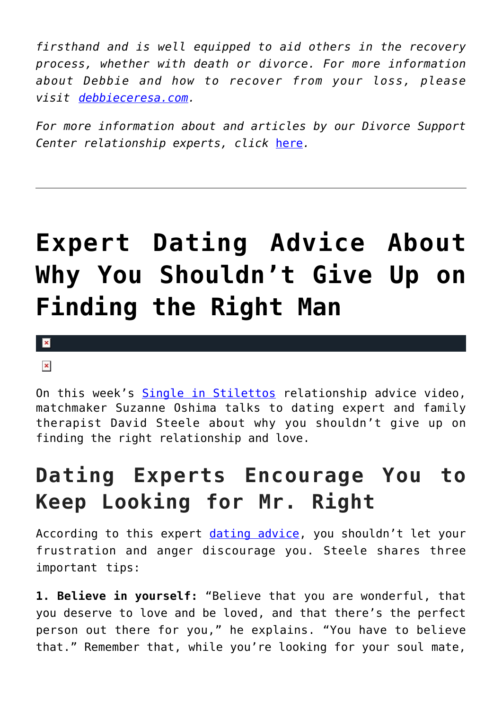*firsthand and is well equipped to aid others in the recovery process, whether with death or divorce. For more information about Debbie and how to recover from your loss, please visit [debbieceresa.com](http://www.debbieceresa.com/).*

*For more information about and articles by our Divorce Support Center relationship experts, click* [here](http://cupidspulse.com/relationship-dating-experts/hope-after-divorce-relationship-experts/)*.*

# **[Expert Dating Advice About](https://cupidspulse.com/104093/expert-dating-advice-single-in-stilettos-why-you-shouldnt-give-up-on-finding-the-right-man/) [Why You Shouldn't Give Up on](https://cupidspulse.com/104093/expert-dating-advice-single-in-stilettos-why-you-shouldnt-give-up-on-finding-the-right-man/) [Finding the Right Man](https://cupidspulse.com/104093/expert-dating-advice-single-in-stilettos-why-you-shouldnt-give-up-on-finding-the-right-man/)**

 $\pmb{\times}$ 

#### $\pmb{\times}$

On this week's [Single in Stilettos](http://www.singleinstilettos.com) relationship advice video, matchmaker Suzanne Oshima talks to dating expert and family therapist David Steele about why you shouldn't give up on finding the right relationship and love.

### **Dating Experts Encourage You to Keep Looking for Mr. Right**

According to this expert [dating advice](http://cupidspulse.com/dating/date-ideas/), you shouldn't let your frustration and anger discourage you. Steele shares three important tips:

**1. Believe in yourself:** "Believe that you are wonderful, that you deserve to love and be loved, and that there's the perfect person out there for you," he explains. "You have to believe that." Remember that, while you're looking for your soul mate,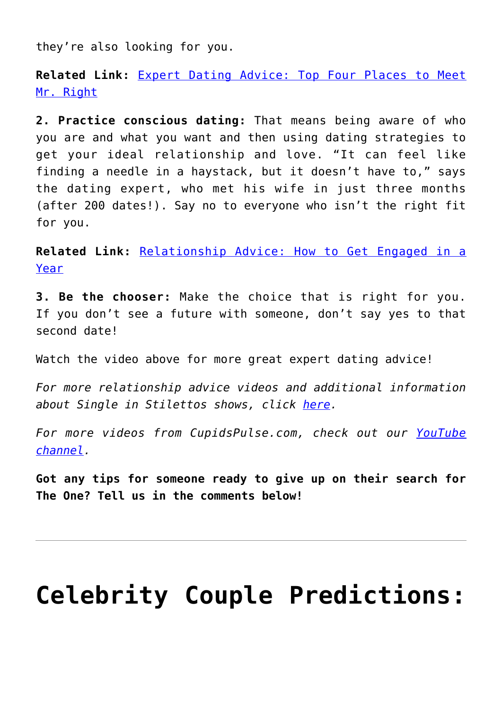they're also looking for you.

**Related Link:** [Expert Dating Advice: Top Four Places to Meet](http://cupidspulse.com/101994/expert-dating-advice-top-place-to-meet-mr-right-duana-welch/) [Mr. Right](http://cupidspulse.com/101994/expert-dating-advice-top-place-to-meet-mr-right-duana-welch/)

**2. Practice conscious dating:** That means being aware of who you are and what you want and then using dating strategies to get your ideal relationship and love. "It can feel like finding a needle in a haystack, but it doesn't have to," says the dating expert, who met his wife in just three months (after 200 dates!). Say no to everyone who isn't the right fit for you.

**Related Link:** [Relationship Advice: How to Get Engaged in a](http://cupidspulse.com/102464/relationship-advice-how-to-get-engaged-in-a-year/) [Year](http://cupidspulse.com/102464/relationship-advice-how-to-get-engaged-in-a-year/)

**3. Be the chooser:** Make the choice that is right for you. If you don't see a future with someone, don't say yes to that second date!

Watch the video above for more great expert dating advice!

*For more relationship advice videos and additional information about Single in Stilettos shows, click [here.](http://cupidspulse.com/suzanne-oshima-single-in-stilettos-shows/)*

*For more videos from CupidsPulse.com, check out our [YouTube](https://www.youtube.com/channel/UCP4G7LiNJEVZ7U0M24qXmfg) [channel](https://www.youtube.com/channel/UCP4G7LiNJEVZ7U0M24qXmfg).*

**Got any tips for someone ready to give up on their search for The One? Tell us in the comments below!**

## **[Celebrity Couple Predictions:](https://cupidspulse.com/103877/celebrity-couple-predictions-katie-holmes-gigi-hadid-miranda-lambert/)**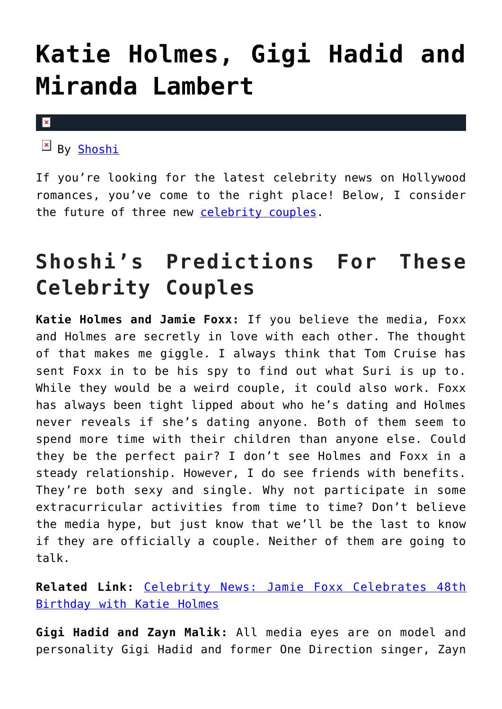## **[Katie Holmes, Gigi Hadid and](https://cupidspulse.com/103877/celebrity-couple-predictions-katie-holmes-gigi-hadid-miranda-lambert/) [Miranda Lambert](https://cupidspulse.com/103877/celebrity-couple-predictions-katie-holmes-gigi-hadid-miranda-lambert/)**

 $\mathbf x$ 

By [Shoshi](https://about.me/yolandashoshana)

If you're looking for the latest celebrity news on Hollywood romances, you've come to the right place! Below, I consider the future of three new [celebrity couples.](http://cupidspulse.com/celebrity-relationships/long-term-relationships-flings/)

## **Shoshi's Predictions For These Celebrity Couples**

**Katie Holmes and Jamie Foxx:** If you believe the media, Foxx and Holmes are secretly in love with each other. The thought of that makes me giggle. I always think that Tom Cruise has sent Foxx in to be his spy to find out what Suri is up to. While they would be a weird couple, it could also work. Foxx has always been tight lipped about who he's dating and Holmes never reveals if she's dating anyone. Both of them seem to spend more time with their children than anyone else. Could they be the perfect pair? I don't see Holmes and Foxx in a steady relationship. However, I do see friends with benefits. They're both sexy and single. Why not participate in some extracurricular activities from time to time? Don't believe the media hype, but just know that we'll be the last to know if they are officially a couple. Neither of them are going to talk.

**Related Link:** [Celebrity News: Jamie Foxx Celebrates 48th](http://cupidspulse.com/102483/celebrity-news-jamie-foxx-celebrates-birthday-katie-holmes/) [Birthday with Katie Holmes](http://cupidspulse.com/102483/celebrity-news-jamie-foxx-celebrates-birthday-katie-holmes/)

**Gigi Hadid and Zayn Malik:** All media eyes are on model and personality Gigi Hadid and former One Direction singer, Zayn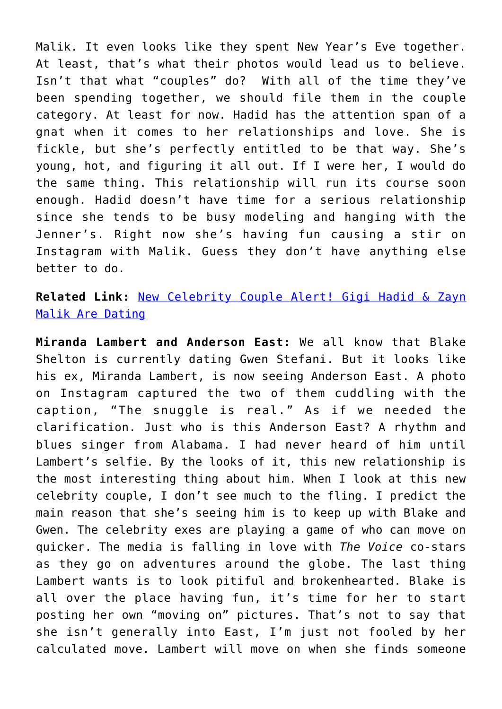Malik. It even looks like they spent New Year's Eve together. At least, that's what their photos would lead us to believe. Isn't that what "couples" do? With all of the time they've been spending together, we should file them in the couple category. At least for now. Hadid has the attention span of a gnat when it comes to her relationships and love. She is fickle, but she's perfectly entitled to be that way. She's young, hot, and figuring it all out. If I were her, I would do the same thing. This relationship will run its course soon enough. Hadid doesn't have time for a serious relationship since she tends to be busy modeling and hanging with the Jenner's. Right now she's having fun causing a stir on Instagram with Malik. Guess they don't have anything else better to do.

**Related Link:** [New Celebrity Couple Alert! Gigi Hadid & Zayn](http://cupidspulse.com/101922/new-celebrity-couple-gigi-hadid-zayn-malik-dating/) [Malik Are Dating](http://cupidspulse.com/101922/new-celebrity-couple-gigi-hadid-zayn-malik-dating/)

**Miranda Lambert and Anderson East:** We all know that Blake Shelton is currently dating Gwen Stefani. But it looks like his ex, Miranda Lambert, is now seeing Anderson East. A photo on Instagram captured the two of them cuddling with the caption, "The snuggle is real." As if we needed the clarification. Just who is this Anderson East? A rhythm and blues singer from Alabama. I had never heard of him until Lambert's selfie. By the looks of it, this new relationship is the most interesting thing about him. When I look at this new celebrity couple, I don't see much to the fling. I predict the main reason that she's seeing him is to keep up with Blake and Gwen. The celebrity exes are playing a game of who can move on quicker. The media is falling in love with *The Voice* co-stars as they go on adventures around the globe. The last thing Lambert wants is to look pitiful and brokenhearted. Blake is all over the place having fun, it's time for her to start posting her own "moving on" pictures. That's not to say that she isn't generally into East, I'm just not fooled by her calculated move. Lambert will move on when she finds someone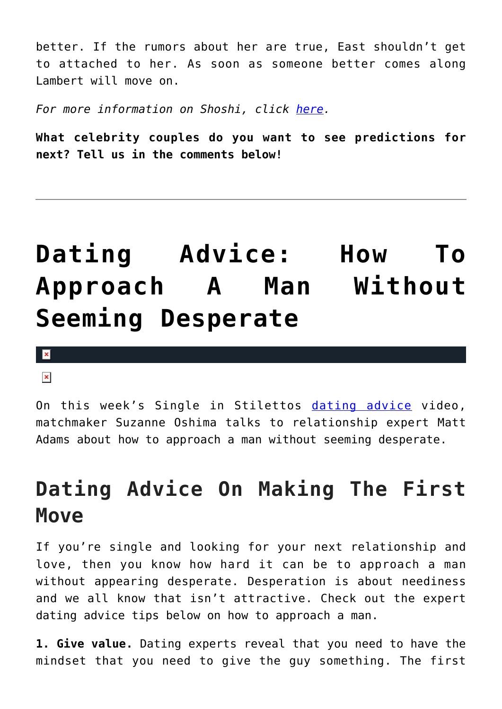better. If the rumors about her are true, East shouldn't get to attached to her. As soon as someone better comes along Lambert will move on.

*For more information on Shoshi, click [here.](http://cupidspulse.com/relationship-dating-experts/yolanda-shoshana-shoshi-lifestyle-provocateur/)*

**What celebrity couples do you want to see predictions for next? Tell us in the comments below!**

## **[Dating Advice: How To](https://cupidspulse.com/103872/dating-advice-approach-a-man-without-seeming-desperate/) [Approach A Man Without](https://cupidspulse.com/103872/dating-advice-approach-a-man-without-seeming-desperate/) [Seeming Desperate](https://cupidspulse.com/103872/dating-advice-approach-a-man-without-seeming-desperate/)**

 $\mathbf x$ 

 $\pmb{\times}$ 

On this week's Single in Stilettos [dating advice](http://cupidspulse.com/dating/date-ideas/) video, matchmaker Suzanne Oshima talks to relationship expert Matt Adams about how to approach a man without seeming desperate.

### **Dating Advice On Making The First Move**

If you're single and looking for your next relationship and love, then you know how hard it can be to approach a man without appearing desperate. Desperation is about neediness and we all know that isn't attractive. Check out the expert dating advice tips below on how to approach a man.

**1. Give value.** Dating experts reveal that you need to have the mindset that you need to give the guy something. The first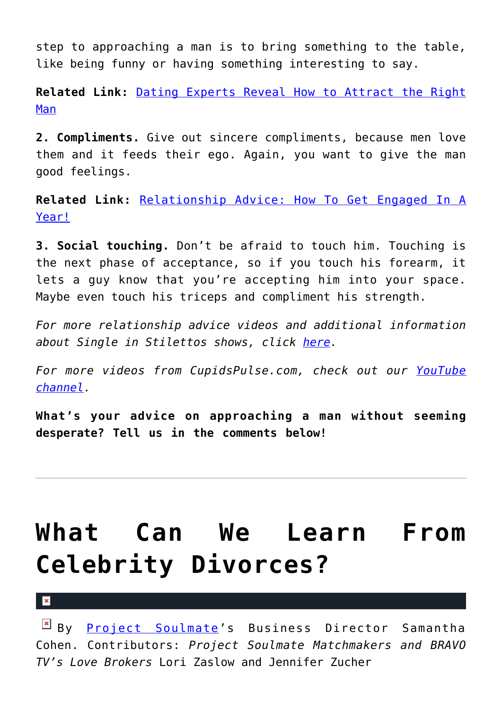step to approaching a man is to bring something to the table, like being funny or having something interesting to say.

**Related Link:** [Dating Experts Reveal How to Attract the Right](http://cupidspulse.com/102656/dating-experts-reveal-how-to-attract-the-right-man/) [Man](http://cupidspulse.com/102656/dating-experts-reveal-how-to-attract-the-right-man/)

**2. Compliments.** Give out sincere compliments, because men love them and it feeds their ego. Again, you want to give the man good feelings.

**Related Link:** [Relationship Advice: How To Get Engaged In A](http://cupidspulse.com/102464/relationship-advice-how-to-get-engaged-in-a-year/) [Year!](http://cupidspulse.com/102464/relationship-advice-how-to-get-engaged-in-a-year/)

**3. Social touching.** Don't be afraid to touch him. Touching is the next phase of acceptance, so if you touch his forearm, it lets a guy know that you're accepting him into your space. Maybe even touch his triceps and compliment his strength.

*For more relationship advice videos and additional information about Single in Stilettos shows, click [here.](http://cupidspulse.com/suzanne-oshima-single-in-stilettos-shows/)*

*For more videos from CupidsPulse.com, check out our [YouTube](https://www.youtube.com/channel/UCP4G7LiNJEVZ7U0M24qXmfg) [channel](https://www.youtube.com/channel/UCP4G7LiNJEVZ7U0M24qXmfg).*

**What's your advice on approaching a man without seeming desperate? Tell us in the comments below!**

## **[What Can We Learn From](https://cupidspulse.com/102982/relationship-advice-celebrity-divorces/) [Celebrity Divorces?](https://cupidspulse.com/102982/relationship-advice-celebrity-divorces/)**

 $\mathbf{x}$ 

By [Project Soulmate](http://www.projectsoulmate.com/)'s Business Director Samantha Cohen. Contributors: *Project Soulmate Matchmakers and BRAVO TV's Love Brokers* Lori Zaslow and Jennifer Zucher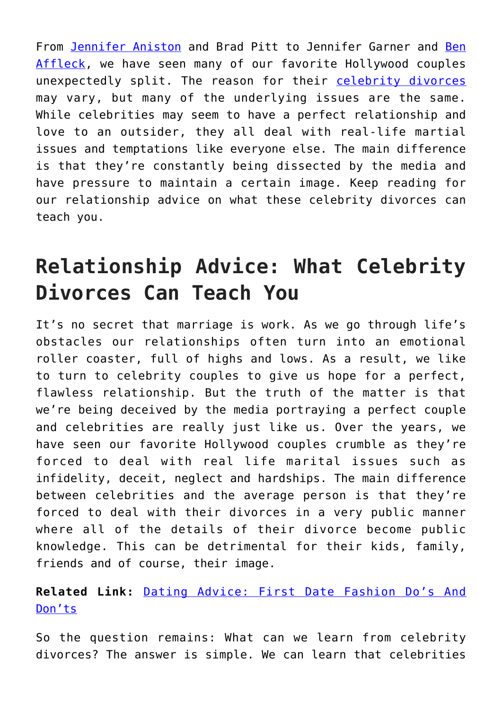From [Jennifer Aniston](http://cupidspulse.com/86079/jennifer-aniston/) and Brad Pitt to Jennifer Garner and [Ben](http://cupidspulse.com/87708/ben-affleck/) [Affleck](http://cupidspulse.com/87708/ben-affleck/), we have seen many of our favorite Hollywood couples unexpectedly split. The reason for their [celebrity divorces](http://cupidspulse.com/celebrity-relationships/break-up-divorce/) may vary, but many of the underlying issues are the same. While celebrities may seem to have a perfect relationship and love to an outsider, they all deal with real-life martial issues and temptations like everyone else. The main difference is that they're constantly being dissected by the media and have pressure to maintain a certain image. Keep reading for our relationship advice on what these celebrity divorces can teach you.

## **Relationship Advice: What Celebrity Divorces Can Teach You**

It's no secret that marriage is work. As we go through life's obstacles our relationships often turn into an emotional roller coaster, full of highs and lows. As a result, we like to turn to celebrity couples to give us hope for a perfect, flawless relationship. But the truth of the matter is that we're being deceived by the media portraying a perfect couple and celebrities are really just like us. Over the years, we have seen our favorite Hollywood couples crumble as they're forced to deal with real life marital issues such as infidelity, deceit, neglect and hardships. The main difference between celebrities and the average person is that they're forced to deal with their divorces in a very public manner where all of the details of their divorce become public knowledge. This can be detrimental for their kids, family, friends and of course, their image.

#### **Related Link:** [Dating Advice: First Date Fashion Do's And](http://cupidspulse.com/100665/dating-advice-first-date-fashion/) [Don'ts](http://cupidspulse.com/100665/dating-advice-first-date-fashion/)

So the question remains: What can we learn from celebrity divorces? The answer is simple. We can learn that celebrities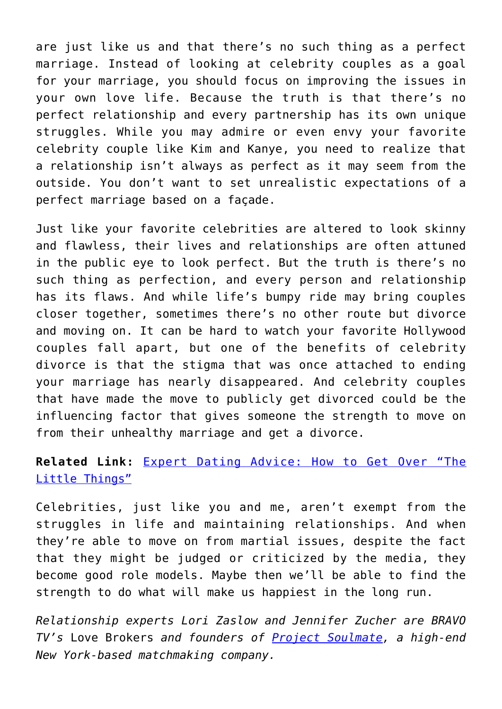are just like us and that there's no such thing as a perfect marriage. Instead of looking at celebrity couples as a goal for your marriage, you should focus on improving the issues in your own love life. Because the truth is that there's no perfect relationship and every partnership has its own unique struggles. While you may admire or even envy your favorite celebrity couple like Kim and Kanye, you need to realize that a relationship isn't always as perfect as it may seem from the outside. You don't want to set unrealistic expectations of a perfect marriage based on a façade.

Just like your favorite celebrities are altered to look skinny and flawless, their lives and relationships are often attuned in the public eye to look perfect. But the truth is there's no such thing as perfection, and every person and relationship has its flaws. And while life's bumpy ride may bring couples closer together, sometimes there's no other route but divorce and moving on. It can be hard to watch your favorite Hollywood couples fall apart, but one of the benefits of celebrity divorce is that the stigma that was once attached to ending your marriage has nearly disappeared. And celebrity couples that have made the move to publicly get divorced could be the influencing factor that gives someone the strength to move on from their unhealthy marriage and get a divorce.

#### **Related Link:** [Expert Dating Advice: How to Get Over "The](http://cupidspulse.com/99769/expert-dating-advice-project-soulmate-get-over-the-little-things/) [Little Things"](http://cupidspulse.com/99769/expert-dating-advice-project-soulmate-get-over-the-little-things/)

Celebrities, just like you and me, aren't exempt from the struggles in life and maintaining relationships. And when they're able to move on from martial issues, despite the fact that they might be judged or criticized by the media, they become good role models. Maybe then we'll be able to find the strength to do what will make us happiest in the long run.

*Relationship experts Lori Zaslow and Jennifer Zucher are BRAVO TV's* Love Brokers *and founders of [Project Soulmate](http://cupidspulse.com/relationship-dating-experts/lori-zaslow-jennifer-zucher-project-soulmate/), a high-end New York-based matchmaking company.*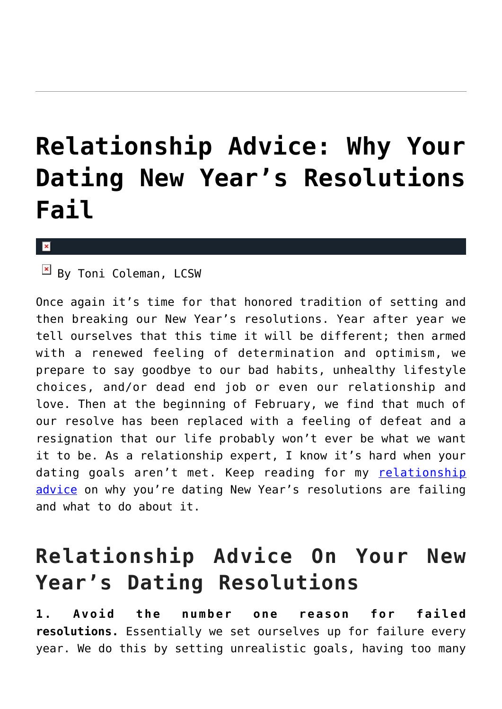## **[Relationship Advice: Why Your](https://cupidspulse.com/102918/relationship-advice-new-years-dating-resolutions/) [Dating New Year's Resolutions](https://cupidspulse.com/102918/relationship-advice-new-years-dating-resolutions/) [Fail](https://cupidspulse.com/102918/relationship-advice-new-years-dating-resolutions/)**

#### x

 $\boxed{\times}$  By Toni Coleman, LCSW

Once again it's time for that honored tradition of setting and then breaking our New Year's resolutions. Year after year we tell ourselves that this time it will be different; then armed with a renewed feeling of determination and optimism, we prepare to say goodbye to our bad habits, unhealthy lifestyle choices, and/or dead end job or even our relationship and love. Then at the beginning of February, we find that much of our resolve has been replaced with a feeling of defeat and a resignation that our life probably won't ever be what we want it to be. As a relationship expert, I know it's hard when your dating goals aren't met. Keep reading for my [relationship](http://cupidspulse.com/relationship-experts/) [advice](http://cupidspulse.com/relationship-experts/) on why you're dating New Year's resolutions are failing and what to do about it.

### **Relationship Advice On Your New Year's Dating Resolutions**

**1. Avoid the number one reason for failed resolutions.** Essentially we set ourselves up for failure every year. We do this by setting unrealistic goals, having too many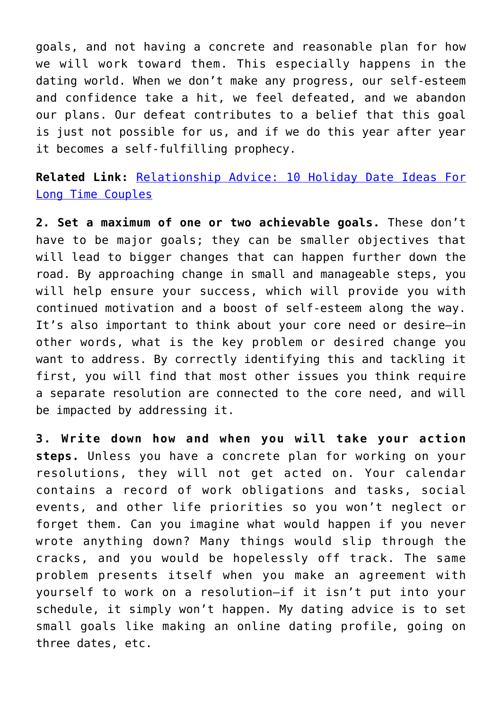goals, and not having a concrete and reasonable plan for how we will work toward them. This especially happens in the dating world. When we don't make any progress, our self-esteem and confidence take a hit, we feel defeated, and we abandon our plans. Our defeat contributes to a belief that this goal is just not possible for us, and if we do this year after year it becomes a self-fulfilling prophecy.

**Related Link:** [Relationship Advice: 10 Holiday Date Ideas For](http://cupidspulse.com/102864/relationship-advice-holiday-date-ideas-long-time-couples/) [Long Time Couples](http://cupidspulse.com/102864/relationship-advice-holiday-date-ideas-long-time-couples/)

**2. Set a maximum of one or two achievable goals.** These don't have to be major goals; they can be smaller objectives that will lead to bigger changes that can happen further down the road. By approaching change in small and manageable steps, you will help ensure your success, which will provide you with continued motivation and a boost of self-esteem along the way. It's also important to think about your core need or desire—in other words, what is the key problem or desired change you want to address. By correctly identifying this and tackling it first, you will find that most other issues you think require a separate resolution are connected to the core need, and will be impacted by addressing it.

**3. Write down how and when you will take your action steps.** Unless you have a concrete plan for working on your resolutions, they will not get acted on. Your calendar contains a record of work obligations and tasks, social events, and other life priorities so you won't neglect or forget them. Can you imagine what would happen if you never wrote anything down? Many things would slip through the cracks, and you would be hopelessly off track. The same problem presents itself when you make an agreement with yourself to work on a resolution—if it isn't put into your schedule, it simply won't happen. My dating advice is to set small goals like making an online dating profile, going on three dates, etc.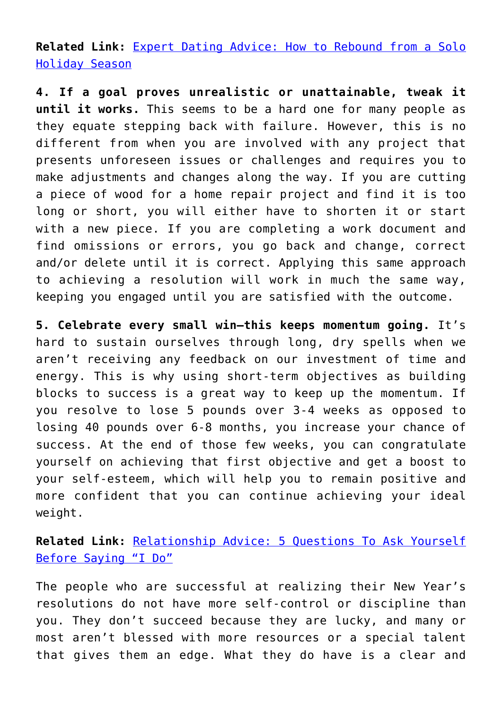**Related Link:** [Expert Dating Advice: How to Rebound from a Solo](http://cupidspulse.com/102067/expert-dating-advice-how-to-rebound-from-a-solo-holiday-season/) [Holiday Season](http://cupidspulse.com/102067/expert-dating-advice-how-to-rebound-from-a-solo-holiday-season/)

**4. If a goal proves unrealistic or unattainable, tweak it until it works.** This seems to be a hard one for many people as they equate stepping back with failure. However, this is no different from when you are involved with any project that presents unforeseen issues or challenges and requires you to make adjustments and changes along the way. If you are cutting a piece of wood for a home repair project and find it is too long or short, you will either have to shorten it or start with a new piece. If you are completing a work document and find omissions or errors, you go back and change, correct and/or delete until it is correct. Applying this same approach to achieving a resolution will work in much the same way, keeping you engaged until you are satisfied with the outcome.

**5. Celebrate every small win—this keeps momentum going.** It's hard to sustain ourselves through long, dry spells when we aren't receiving any feedback on our investment of time and energy. This is why using short-term objectives as building blocks to success is a great way to keep up the momentum. If you resolve to lose 5 pounds over 3-4 weeks as opposed to losing 40 pounds over 6-8 months, you increase your chance of success. At the end of those few weeks, you can congratulate yourself on achieving that first objective and get a boost to your self-esteem, which will help you to remain positive and more confident that you can continue achieving your ideal weight.

**Related Link:** [Relationship Advice: 5 Questions To Ask Yourself](http://cupidspulse.com/102467/relationship-advice-5-questions-to-ask-yourself-before-saying-i-do/) [Before Saying "I Do"](http://cupidspulse.com/102467/relationship-advice-5-questions-to-ask-yourself-before-saying-i-do/)

The people who are successful at realizing their New Year's resolutions do not have more self-control or discipline than you. They don't succeed because they are lucky, and many or most aren't blessed with more resources or a special talent that gives them an edge. What they do have is a clear and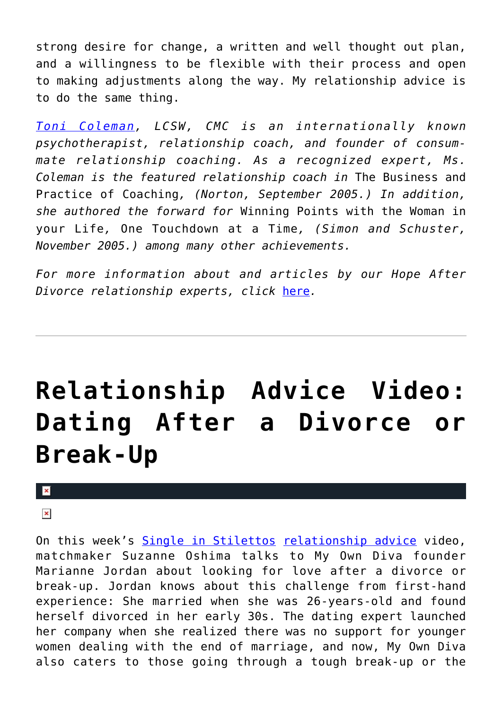strong desire for change, a written and well thought out plan, and a willingness to be flexible with their process and open to making adjustments along the way. My relationship advice is to do the same thing.

*[Toni Coleman](http://www.consum-mate.com/index.php), LCSW, CMC is an internationally known psychotherapist, relationship coach, and founder of consummate relationship coaching. As a recognized expert, Ms. Coleman is the featured relationship coach in* The Business and Practice of Coaching*, (Norton, September 2005.) In addition, she authored the forward for* Winning Points with the Woman in your Life*,* One Touchdown at a Time*, (Simon and Schuster, November 2005.) among many other achievements.*

*For more information about and articles by our Hope After Divorce relationship experts, click* [here](http://cupidspulse.com/relationship-dating-experts/hope-after-divorce-relationship-experts/)*.*

# **[Relationship Advice Video:](https://cupidspulse.com/103389/relationship-advice-video-dating-after-divorce-break-up/) [Dating After a Divorce or](https://cupidspulse.com/103389/relationship-advice-video-dating-after-divorce-break-up/) [Break-Up](https://cupidspulse.com/103389/relationship-advice-video-dating-after-divorce-break-up/)**

#### $\pmb{\times}$

#### $\pmb{\times}$

On this week's [Single in Stilettos](http://www.singleinstilettos.com) [relationship advice](http://cupidspulse.com/relationship-experts/) video, matchmaker Suzanne Oshima talks to My Own Diva founder Marianne Jordan about looking for love after a divorce or break-up. Jordan knows about this challenge from first-hand experience: She married when she was 26-years-old and found herself divorced in her early 30s. The dating expert launched her company when she realized there was no support for younger women dealing with the end of marriage, and now, My Own Diva also caters to those going through a tough break-up or the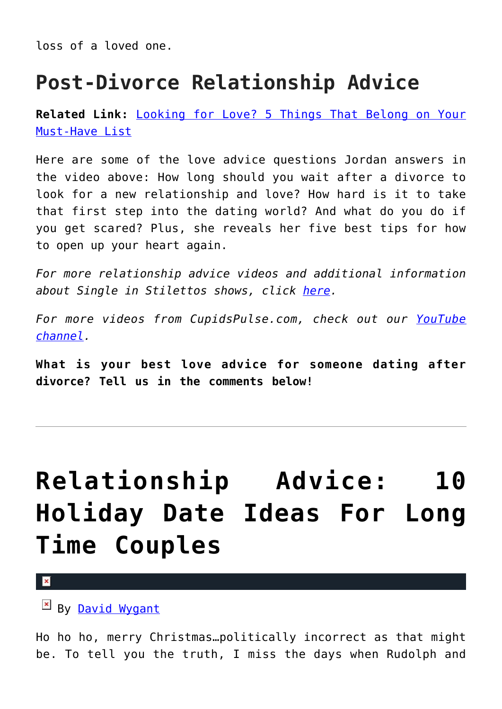loss of a loved one.

### **Post-Divorce Relationship Advice**

**Related Link:** [Looking for Love? 5 Things That Belong on Your](http://cupidspulse.com/99171/relationship-advice-video-duana-welch-must-have-list/) [Must-Have List](http://cupidspulse.com/99171/relationship-advice-video-duana-welch-must-have-list/)

Here are some of the love advice questions Jordan answers in the video above: How long should you wait after a divorce to look for a new relationship and love? How hard is it to take that first step into the dating world? And what do you do if you get scared? Plus, she reveals her five best tips for how to open up your heart again.

*For more relationship advice videos and additional information about Single in Stilettos shows, click [here.](http://cupidspulse.com/suzanne-oshima-single-in-stilettos-shows/)*

*For more videos from CupidsPulse.com, check out our [YouTube](https://www.youtube.com/channel/UCP4G7LiNJEVZ7U0M24qXmfg) [channel](https://www.youtube.com/channel/UCP4G7LiNJEVZ7U0M24qXmfg).*

**What is your best love advice for someone dating after divorce? Tell us in the comments below!**

# **[Relationship Advice: 10](https://cupidspulse.com/102864/relationship-advice-holiday-date-ideas-long-time-couples/) [Holiday Date Ideas For Long](https://cupidspulse.com/102864/relationship-advice-holiday-date-ideas-long-time-couples/) [Time Couples](https://cupidspulse.com/102864/relationship-advice-holiday-date-ideas-long-time-couples/)**

 $\mathbf{R}$ 

By [David Wygant](http://cupidspulse.com/relationship-dating-experts/david-wygant-dating-coach/)

Ho ho ho, merry Christmas…politically incorrect as that might be. To tell you the truth, I miss the days when Rudolph and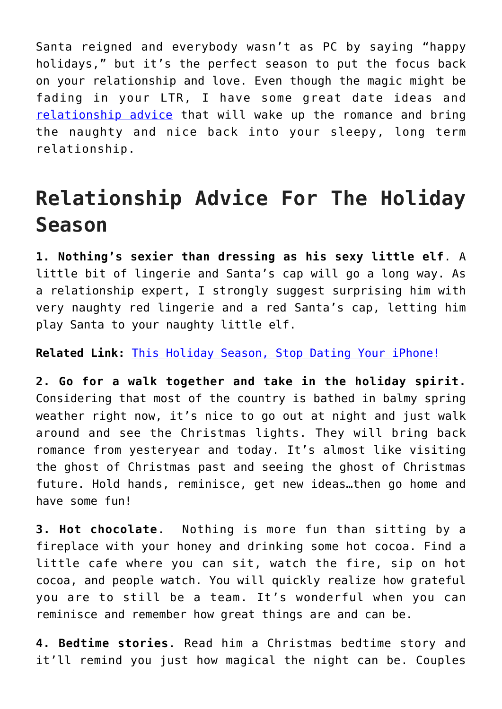Santa reigned and everybody wasn't as PC by saying "happy holidays," but it's the perfect season to put the focus back on your relationship and love. Even though the magic might be fading in your LTR, I have some great date ideas and [relationship advice](http://cupidspulse.com/relationship-experts/) that will wake up the romance and bring the naughty and nice back into your sleepy, long term relationship.

### **Relationship Advice For The Holiday Season**

**1. Nothing's sexier than dressing as his sexy little elf**. A little bit of lingerie and Santa's cap will go a long way. As a relationship expert, I strongly suggest surprising him with very naughty red lingerie and a red Santa's cap, letting him play Santa to your naughty little elf.

**Related Link:** [This Holiday Season, Stop Dating Your iPhone!](http://cupidspulse.com/84200/david-wygant-holidays-stop-dating-iphone/)

**2. Go for a walk together and take in the holiday spirit.** Considering that most of the country is bathed in balmy spring weather right now, it's nice to go out at night and just walk around and see the Christmas lights. They will bring back romance from yesteryear and today. It's almost like visiting the ghost of Christmas past and seeing the ghost of Christmas future. Hold hands, reminisce, get new ideas…then go home and have some fun!

**3. Hot chocolate**. Nothing is more fun than sitting by a fireplace with your honey and drinking some hot cocoa. Find a little cafe where you can sit, watch the fire, sip on hot cocoa, and people watch. You will quickly realize how grateful you are to still be a team. It's wonderful when you can reminisce and remember how great things are and can be.

**4. Bedtime stories**. Read him a Christmas bedtime story and it'll remind you just how magical the night can be. Couples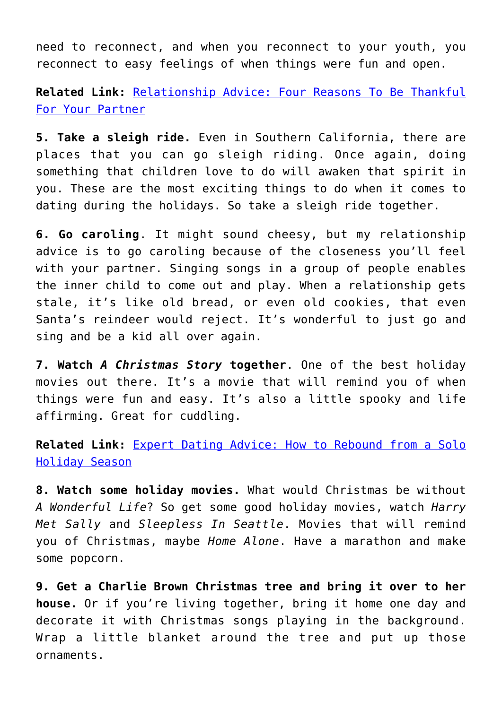need to reconnect, and when you reconnect to your youth, you reconnect to easy feelings of when things were fun and open.

**Related Link:** [Relationship Advice: Four Reasons To Be Thankful](http://cupidspulse.com/101887/relationship-advice-be-thankful-for-your-partner/) [For Your Partner](http://cupidspulse.com/101887/relationship-advice-be-thankful-for-your-partner/)

**5. Take a sleigh ride.** Even in Southern California, there are places that you can go sleigh riding. Once again, doing something that children love to do will awaken that spirit in you. These are the most exciting things to do when it comes to dating during the holidays. So take a sleigh ride together.

**6. Go caroling**. It might sound cheesy, but my relationship advice is to go caroling because of the closeness you'll feel with your partner. Singing songs in a group of people enables the inner child to come out and play. When a relationship gets stale, it's like old bread, or even old cookies, that even Santa's reindeer would reject. It's wonderful to just go and sing and be a kid all over again.

**7. Watch** *A Christmas Story* **together**. One of the best holiday movies out there. It's a movie that will remind you of when things were fun and easy. It's also a little spooky and life affirming. Great for cuddling.

**Related Link:** [Expert Dating Advice: How to Rebound from a Solo](http://cupidspulse.com/102067/expert-dating-advice-how-to-rebound-from-a-solo-holiday-season/) [Holiday Season](http://cupidspulse.com/102067/expert-dating-advice-how-to-rebound-from-a-solo-holiday-season/)

**8. Watch some holiday movies.** What would Christmas be without *A Wonderful Life*? So get some good holiday movies, watch *Harry Met Sally* and *Sleepless In Seattle*. Movies that will remind you of Christmas, maybe *Home Alone*. Have a marathon and make some popcorn.

**9. Get a Charlie Brown Christmas tree and bring it over to her house.** Or if you're living together, bring it home one day and decorate it with Christmas songs playing in the background. Wrap a little blanket around the tree and put up those ornaments.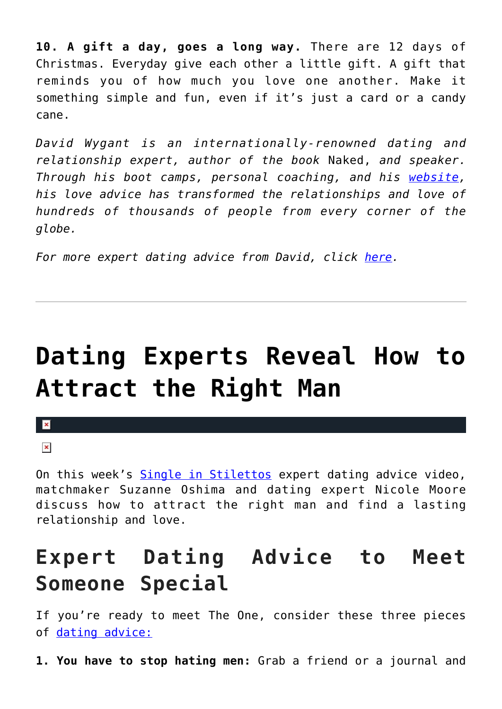**10. A gift a day, goes a long way.** There are 12 days of Christmas. Everyday give each other a little gift. A gift that reminds you of how much you love one another. Make it something simple and fun, even if it's just a card or a candy cane.

*David Wygant is an internationally-renowned dating and relationship expert, author of the book* Naked, *and speaker. Through his boot camps, personal coaching, and his [website,](http://www.davidwygant.com/) his love advice has transformed the relationships and love of hundreds of thousands of people from every corner of the globe.* 

*For more expert dating advice from David, click [here](http://cupidspulse.com/relationship-dating-experts/david-wygant-dating-coach/).*

# **[Dating Experts Reveal How to](https://cupidspulse.com/102656/dating-experts-reveal-how-to-attract-the-right-man/) [Attract the Right Man](https://cupidspulse.com/102656/dating-experts-reveal-how-to-attract-the-right-man/)**

#### $\mathbf x$

#### $\pmb{\times}$

On this week's [Single in Stilettos](http://www.singleinstilettos.com) expert dating advice video, matchmaker Suzanne Oshima and dating expert Nicole Moore discuss how to attract the right man and find a lasting relationship and love.

### **Expert Dating Advice to Meet Someone Special**

If you're ready to meet The One, consider these three pieces of [dating advice:](http://cupidspulse.com/dating/date-ideas/)

**1. You have to stop hating men:** Grab a friend or a journal and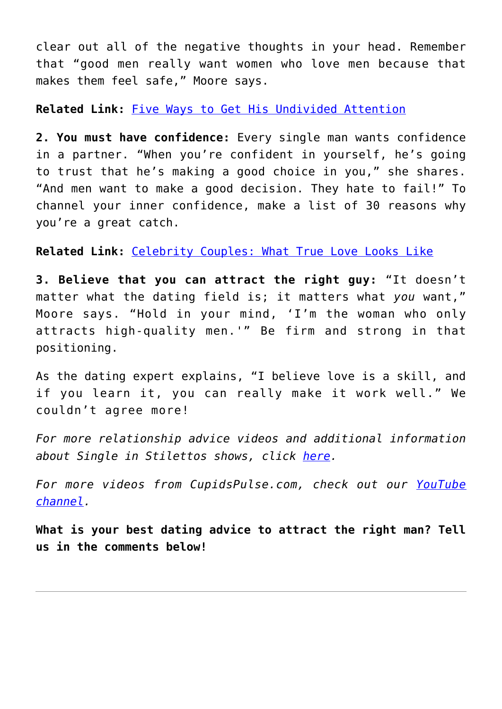clear out all of the negative thoughts in your head. Remember that "good men really want women who love men because that makes them feel safe," Moore says.

**Related Link:** [Five Ways to Get His Undivided Attention](http://cupidspulse.com/57461/five-ways-to-get-undivided-attention-david-wygant/)

**2. You must have confidence:** Every single man wants confidence in a partner. "When you're confident in yourself, he's going to trust that he's making a good choice in you," she shares. "And men want to make a good decision. They hate to fail!" To channel your inner confidence, make a list of 30 reasons why you're a great catch.

**Related Link:** [Celebrity Couples: What True Love Looks Like](http://cupidspulse.com/66711/celebrity-couples-what-true-love-looks-like-amanda-seyfried-justin-long/)

**3. Believe that you can attract the right guy:** "It doesn't matter what the dating field is; it matters what *you* want," Moore says. "Hold in your mind, 'I'm the woman who only attracts high-quality men.'" Be firm and strong in that positioning.

As the dating expert explains, "I believe love is a skill, and if you learn it, you can really make it work well." We couldn't agree more!

*For more relationship advice videos and additional information about Single in Stilettos shows, click [here.](http://cupidspulse.com/suzanne-oshima-single-in-stilettos-shows/)*

*For more videos from CupidsPulse.com, check out our [YouTube](https://www.youtube.com/channel/UCP4G7LiNJEVZ7U0M24qXmfg) [channel](https://www.youtube.com/channel/UCP4G7LiNJEVZ7U0M24qXmfg).*

**What is your best dating advice to attract the right man? Tell us in the comments below!**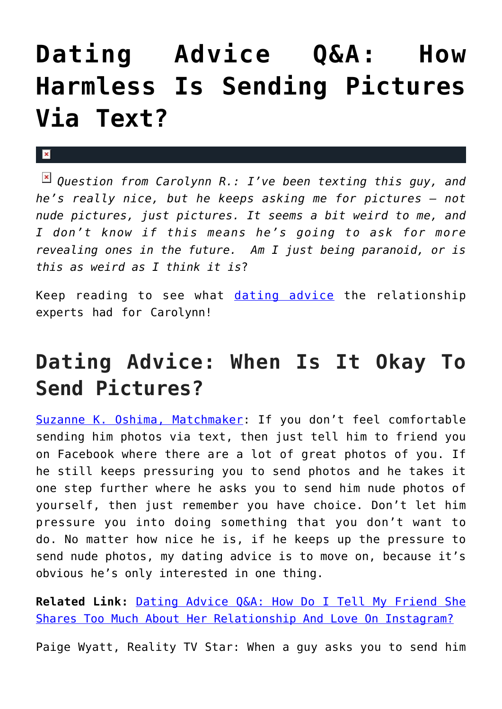# **[Dating Advice Q&A: How](https://cupidspulse.com/102471/dating-advice-qa-how-harmless-is-sending-pictures-via-text/) [Harmless Is Sending Pictures](https://cupidspulse.com/102471/dating-advice-qa-how-harmless-is-sending-pictures-via-text/) [Via Text?](https://cupidspulse.com/102471/dating-advice-qa-how-harmless-is-sending-pictures-via-text/)**

#### $\mathbf{x}$

*Question from Carolynn R.: I've been texting this guy, and he's really nice, but he keeps asking me for pictures — not nude pictures, just pictures. It seems a bit weird to me, and I don't know if this means he's going to ask for more revealing ones in the future. Am I just being paranoid, or is this as weird as I think it is*?

Keep reading to see what [dating advice](http://cupidspulse.com/dating/date-ideas/) the relationship experts had for Carolynn!

### **Dating Advice: When Is It Okay To Send Pictures?**

[Suzanne K. Oshima, Matchmaker:](http://www.dreambachelor.com/) If you don't feel comfortable sending him photos via text, then just tell him to friend you on Facebook where there are a lot of great photos of you. If he still keeps pressuring you to send photos and he takes it one step further where he asks you to send him nude photos of yourself, then just remember you have choice. Don't let him pressure you into doing something that you don't want to do. No matter how nice he is, if he keeps up the pressure to send nude photos, my dating advice is to move on, because it's obvious he's only interested in one thing.

**Related Link:** [Dating Advice Q&A: How Do I Tell My Friend She](http://cupidspulse.com/101474/dating-advice-friend-shares-too-much-about-relationship-and-love/) [Shares Too Much About Her Relationship And Love On Instagram?](http://cupidspulse.com/101474/dating-advice-friend-shares-too-much-about-relationship-and-love/)

Paige Wyatt, Reality TV Star: When a guy asks you to send him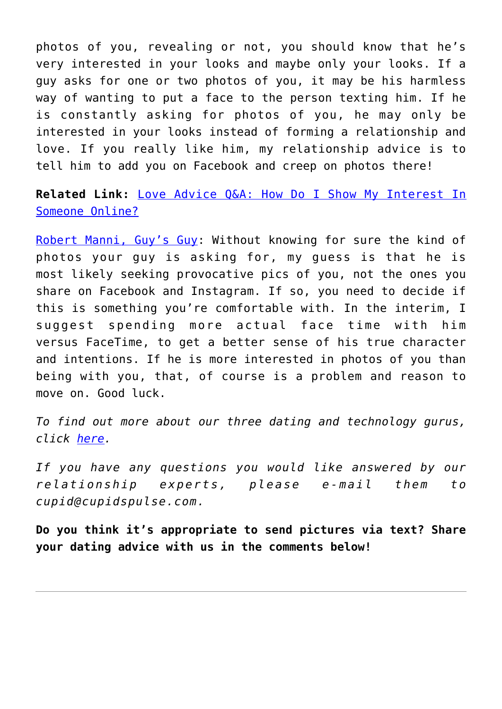photos of you, revealing or not, you should know that he's very interested in your looks and maybe only your looks. If a guy asks for one or two photos of you, it may be his harmless way of wanting to put a face to the person texting him. If he is constantly asking for photos of you, he may only be interested in your looks instead of forming a relationship and love. If you really like him, my relationship advice is to tell him to add you on Facebook and creep on photos there!

**Related Link:** [Love Advice Q&A: How Do I Show My Interest In](http://cupidspulse.com/99478/love-advice-show-interest-online/) [Someone Online?](http://cupidspulse.com/99478/love-advice-show-interest-online/)

[Robert Manni, Guy's Guy:](http://www.robertmanni.com/) Without knowing for sure the kind of photos your guy is asking for, my guess is that he is most likely seeking provocative pics of you, not the ones you share on Facebook and Instagram. If so, you need to decide if this is something you're comfortable with. In the interim, I suggest spending more actual face time with him versus FaceTime, to get a better sense of his true character and intentions. If he is more interested in photos of you than being with you, that, of course is a problem and reason to move on. Good luck.

*To find out more about our three dating and technology gurus, click [here.](http://cupidspulse.com/relationship-dating-experts/oshima-wyatt-manni-technology-experts/)*

*If you have any questions you would like answered by our relationship experts, please e-mail them to cupid@cupidspulse.com.* 

**Do you think it's appropriate to send pictures via text? Share your dating advice with us in the comments below!**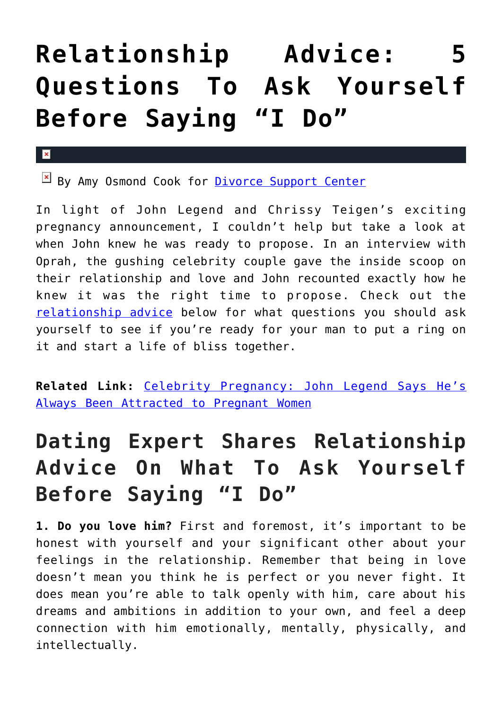# **[Relationship Advice: 5](https://cupidspulse.com/102467/relationship-advice-5-questions-to-ask-yourself-before-saying-i-do/) [Questions To Ask Yourself](https://cupidspulse.com/102467/relationship-advice-5-questions-to-ask-yourself-before-saying-i-do/) [Before Saying "I Do"](https://cupidspulse.com/102467/relationship-advice-5-questions-to-ask-yourself-before-saying-i-do/)**

#### $\mathbf{x}$

By Amy Osmond Cook for [Divorce Support Center](http://www.divorcesupportcenter.com/)

In light of John Legend and Chrissy Teigen's exciting pregnancy announcement, I couldn't help but take a look at when John knew he was ready to propose. In an interview with Oprah, the gushing celebrity couple gave the inside scoop on their relationship and love and John recounted exactly how he knew it was the right time to propose. Check out the [relationship advice](http://cupidspulse.com/relationship-experts/) below for what questions you should ask yourself to see if you're ready for your man to put a ring on it and start a life of bliss together.

**Related Link:** [Celebrity Pregnancy: John Legend Says He's](http://cupidspulse.com/102358/celebrity-pregnancy-john-legend-attracted-pregnant-women/) [Always Been Attracted to Pregnant Women](http://cupidspulse.com/102358/celebrity-pregnancy-john-legend-attracted-pregnant-women/)

## **Dating Expert Shares Relationship Advice On What To Ask Yourself Before Saying "I Do"**

**1. Do you love him?** First and foremost, it's important to be honest with yourself and your significant other about your feelings in the relationship. Remember that being in love doesn't mean you think he is perfect or you never fight. It does mean you're able to talk openly with him, care about his dreams and ambitions in addition to your own, and feel a deep connection with him emotionally, mentally, physically, and intellectually.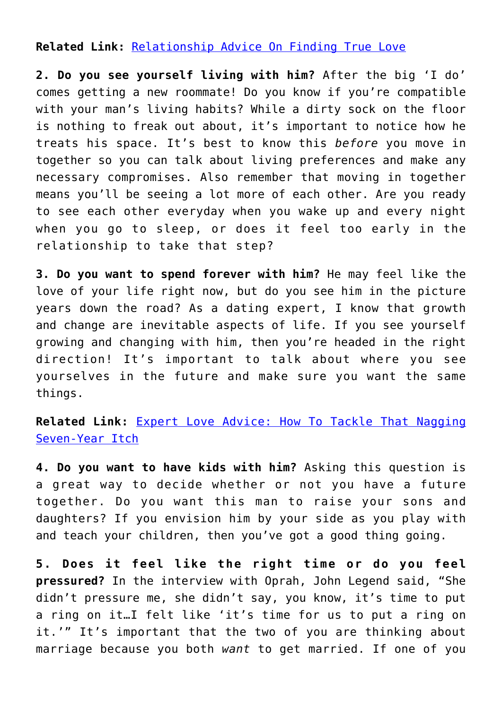#### **Related Link:** [Relationship Advice On Finding True Love](http://cupidspulse.com/101777/relationship-advice-finding-true-relationships-and-love/)

**2. Do you see yourself living with him?** After the big 'I do' comes getting a new roommate! Do you know if you're compatible with your man's living habits? While a dirty sock on the floor is nothing to freak out about, it's important to notice how he treats his space. It's best to know this *before* you move in together so you can talk about living preferences and make any necessary compromises. Also remember that moving in together means you'll be seeing a lot more of each other. Are you ready to see each other everyday when you wake up and every night when you go to sleep, or does it feel too early in the relationship to take that step?

**3. Do you want to spend forever with him?** He may feel like the love of your life right now, but do you see him in the picture years down the road? As a dating expert, I know that growth and change are inevitable aspects of life. If you see yourself growing and changing with him, then you're headed in the right direction! It's important to talk about where you see yourselves in the future and make sure you want the same things.

**Related Link:** [Expert Love Advice: How To Tackle That Nagging](http://cupidspulse.com/94753/expert-love-advice-tackle-seven-year-itch/) [Seven-Year Itch](http://cupidspulse.com/94753/expert-love-advice-tackle-seven-year-itch/)

**4. Do you want to have kids with him?** Asking this question is a great way to decide whether or not you have a future together. Do you want this man to raise your sons and daughters? If you envision him by your side as you play with and teach your children, then you've got a good thing going.

**5. Does it feel like the right time or do you feel pressured?** In the interview with Oprah, John Legend said, "She didn't pressure me, she didn't say, you know, it's time to put a ring on it…I felt like 'it's time for us to put a ring on it.'" It's important that the two of you are thinking about marriage because you both *want* to get married. If one of you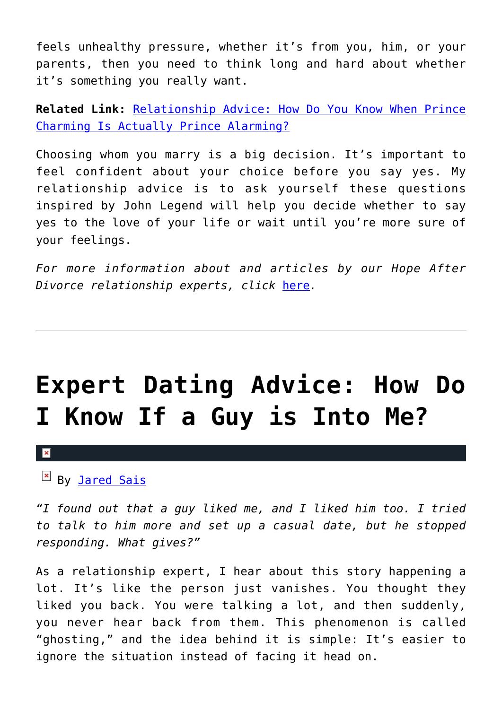feels unhealthy pressure, whether it's from you, him, or your parents, then you need to think long and hard about whether it's something you really want.

**Related Link:** [Relationship Advice: How Do You Know When Prince](http://cupidspulse.com/102286/relationship-advice-prince-charming-prince-alarming/) [Charming Is Actually Prince Alarming?](http://cupidspulse.com/102286/relationship-advice-prince-charming-prince-alarming/)

Choosing whom you marry is a big decision. It's important to feel confident about your choice before you say yes. My relationship advice is to ask yourself these questions inspired by John Legend will help you decide whether to say yes to the love of your life or wait until you're more sure of your feelings.

*For more information about and articles by our Hope After Divorce relationship experts, click* [here](http://cupidspulse.com/relationship-dating-experts/hope-after-divorce-relationship-experts/)*.*

## **[Expert Dating Advice: How Do](https://cupidspulse.com/102316/expert-dating-advice-how-do-i-know-if-a-guy-is-into-me/) [I Know If a Guy is Into Me?](https://cupidspulse.com/102316/expert-dating-advice-how-do-i-know-if-a-guy-is-into-me/)**

#### $\pmb{\times}$

#### By **Jared Sais**

*"I found out that a guy liked me, and I liked him too. I tried to talk to him more and set up a casual date, but he stopped responding. What gives?"*

As a relationship expert, I hear about this story happening a lot. It's like the person just vanishes. You thought they liked you back. You were talking a lot, and then suddenly, you never hear back from them. This phenomenon is called "ghosting," and the idea behind it is simple: It's easier to ignore the situation instead of facing it head on.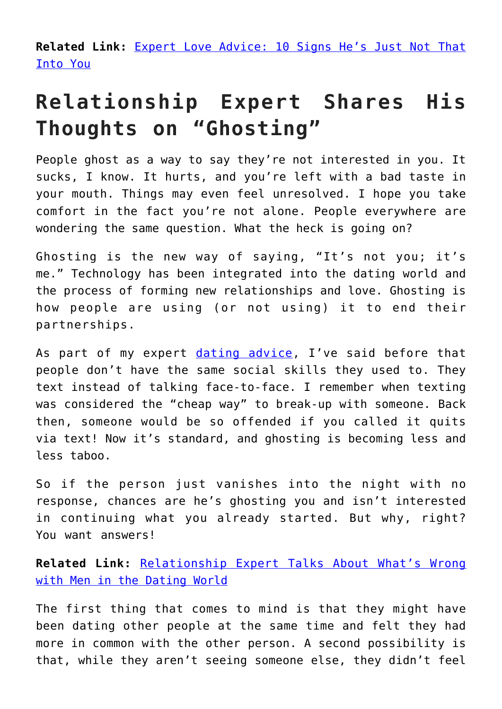**Related Link:** [Expert Love Advice: 10 Signs He's Just Not That](http://cupidspulse.com/96138/expert-love-advice-10-signs-that-hes-just-not-that-into-you/) [Into You](http://cupidspulse.com/96138/expert-love-advice-10-signs-that-hes-just-not-that-into-you/)

## **Relationship Expert Shares His Thoughts on "Ghosting"**

People ghost as a way to say they're not interested in you. It sucks, I know. It hurts, and you're left with a bad taste in your mouth. Things may even feel unresolved. I hope you take comfort in the fact you're not alone. People everywhere are wondering the same question. What the heck is going on?

Ghosting is the new way of saying, "It's not you; it's me." Technology has been integrated into the dating world and the process of forming new relationships and love. Ghosting is how people are using (or not using) it to end their partnerships.

As part of my expert [dating advice](http://cupidspulse.com/dating/date-ideas/), I've said before that people don't have the same social skills they used to. They text instead of talking face-to-face. I remember when texting was considered the "cheap way" to break-up with someone. Back then, someone would be so offended if you called it quits via text! Now it's standard, and ghosting is becoming less and less taboo.

So if the person just vanishes into the night with no response, chances are he's ghosting you and isn't interested in continuing what you already started. But why, right? You want answers!

**Related Link:** [Relationship Expert Talks About What's Wrong](http://cupidspulse.com/100079/relationship-expert-whats-wrong-men-in-dating/) [with Men in the Dating World](http://cupidspulse.com/100079/relationship-expert-whats-wrong-men-in-dating/)

The first thing that comes to mind is that they might have been dating other people at the same time and felt they had more in common with the other person. A second possibility is that, while they aren't seeing someone else, they didn't feel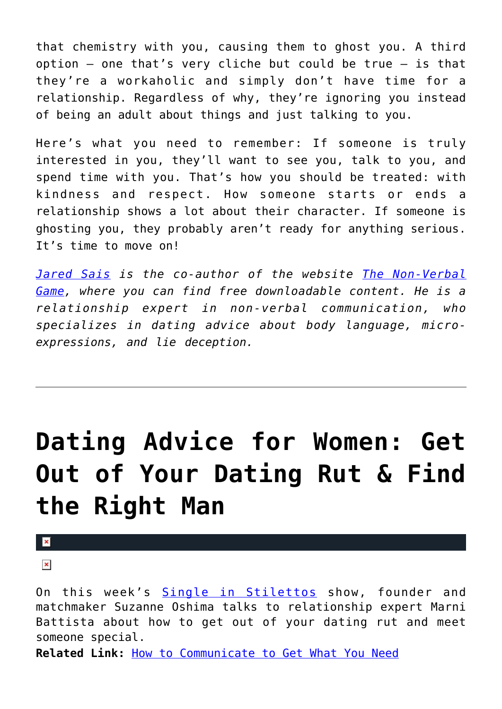that chemistry with you, causing them to ghost you. A third option  $-$  one that's very cliche but could be true  $-$  is that they're a workaholic and simply don't have time for a relationship. Regardless of why, they're ignoring you instead of being an adult about things and just talking to you.

Here's what you need to remember: If someone is truly interested in you, they'll want to see you, talk to you, and spend time with you. That's how you should be treated: with kindness and respect. How someone starts or ends a relationship shows a lot about their character. If someone is ghosting you, they probably aren't ready for anything serious. It's time to move on!

*[Jared Sais](http://cupidspulse.com/experts/jared-sais/) is the co-author of the website [The Non-Verbal](http://www.thenonverbalgame.com/) [Game,](http://www.thenonverbalgame.com/) where you can find free downloadable content. He is a relationship expert in non-verbal communication, who specializes in dating advice about body language, microexpressions, and lie deception.*

# **[Dating Advice for Women: Get](https://cupidspulse.com/102193/dating-advice-single-in-stilettos-find-the-right-man/) [Out of Your Dating Rut & Find](https://cupidspulse.com/102193/dating-advice-single-in-stilettos-find-the-right-man/) [the Right Man](https://cupidspulse.com/102193/dating-advice-single-in-stilettos-find-the-right-man/)**

 $\pmb{\times}$ 

 $\pmb{\times}$ 

On this week's [Single in Stilettos](http://www.singleinstilettos.com) show, founder and matchmaker Suzanne Oshima talks to relationship expert Marni Battista about how to get out of your dating rut and meet someone special.

**Related Link:** [How to Communicate to Get What You Need](http://cupidspulse.com/21753/how-to-communicate-get-need-galtime-communication-boundaries/)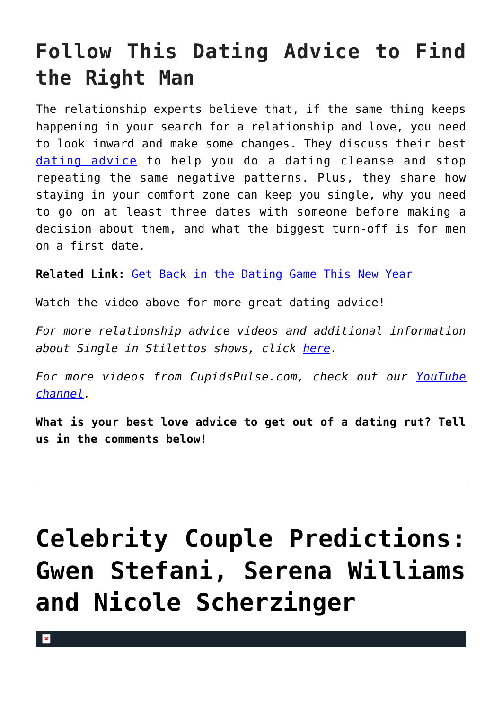## **Follow This Dating Advice to Find the Right Man**

The relationship experts believe that, if the same thing keeps happening in your search for a relationship and love, you need to look inward and make some changes. They discuss their best [dating advice](http://cupidspulse.com/dating/date-ideas/) to help you do a dating cleanse and stop repeating the same negative patterns. Plus, they share how staying in your comfort zone can keep you single, why you need to go on at least three dates with someone before making a decision about them, and what the biggest turn-off is for men on a first date.

**Related Link:** [Get Back in the Dating Game This New Year](http://cupidspulse.com/42120/get-back-dating-game-new-year/)

Watch the video above for more great dating advice!

*For more relationship advice videos and additional information about Single in Stilettos shows, click [here.](http://cupidspulse.com/suzanne-oshima-single-in-stilettos-shows/)*

*For more videos from CupidsPulse.com, check out our [YouTube](https://www.youtube.com/channel/UCP4G7LiNJEVZ7U0M24qXmfg) [channel](https://www.youtube.com/channel/UCP4G7LiNJEVZ7U0M24qXmfg).*

**What is your best love advice to get out of a dating rut? Tell us in the comments below!**

# **[Celebrity Couple Predictions:](https://cupidspulse.com/102073/celebrity-couple-predictions-gwen-stefani-serena-williams-nicole-scherzinger/) [Gwen Stefani, Serena Williams](https://cupidspulse.com/102073/celebrity-couple-predictions-gwen-stefani-serena-williams-nicole-scherzinger/) [and Nicole Scherzinger](https://cupidspulse.com/102073/celebrity-couple-predictions-gwen-stefani-serena-williams-nicole-scherzinger/)**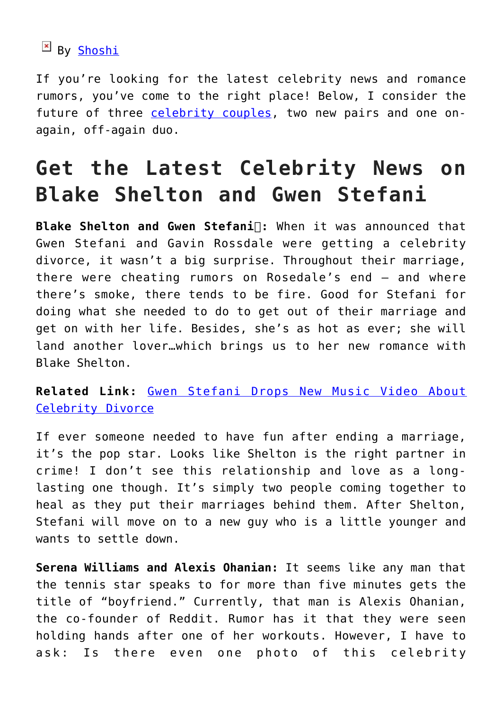### By [Shoshi](https://about.me/yolandashoshana)

If you're looking for the latest celebrity news and romance rumors, you've come to the right place! Below, I consider the future of three [celebrity couples](http://cupidspulse.com/celebrity-relationships/long-term-relationships-flings/), two new pairs and one onagain, off-again duo.

### **Get the Latest Celebrity News on Blake Shelton and Gwen Stefani**

**Blake Shelton and Gwen Stefani
:** When it was announced that Gwen Stefani and Gavin Rossdale were getting a celebrity divorce, it wasn't a big surprise. Throughout their marriage, there were cheating rumors on Rosedale's end — and where there's smoke, there tends to be fire. Good for Stefani for doing what she needed to do to get out of their marriage and get on with her life. Besides, she's as hot as ever; she will land another lover…which brings us to her new romance with Blake Shelton.

**Related Link:** [Gwen Stefani Drops New Music Video About](http://cupidspulse.com/100759/gwen-stefani-new-music-video-about-celebrity-divorce/) [Celebrity Divorce](http://cupidspulse.com/100759/gwen-stefani-new-music-video-about-celebrity-divorce/)

If ever someone needed to have fun after ending a marriage, it's the pop star. Looks like Shelton is the right partner in crime! I don't see this relationship and love as a longlasting one though. It's simply two people coming together to heal as they put their marriages behind them. After Shelton, Stefani will move on to a new guy who is a little younger and wants to settle down.

**Serena Williams and Alexis Ohanian:** It seems like any man that the tennis star speaks to for more than five minutes gets the title of "boyfriend." Currently, that man is Alexis Ohanian, the co-founder of Reddit. Rumor has it that they were seen holding hands after one of her workouts. However, I have to ask: Is there even one photo of this celebrity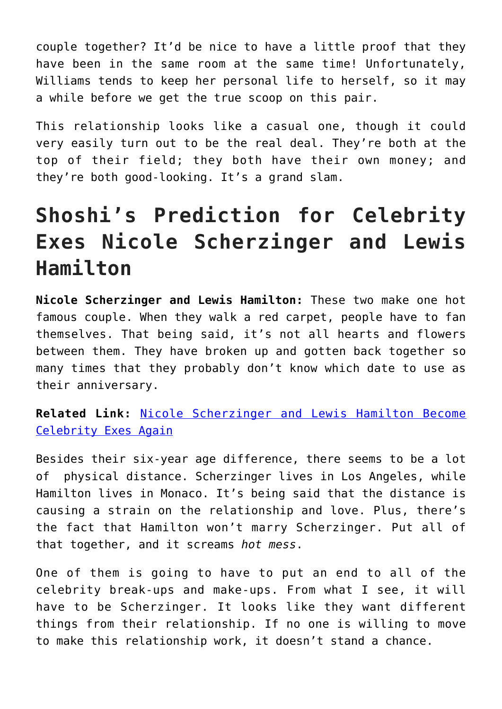couple together? It'd be nice to have a little proof that they have been in the same room at the same time! Unfortunately, Williams tends to keep her personal life to herself, so it may a while before we get the true scoop on this pair.

This relationship looks like a casual one, though it could very easily turn out to be the real deal. They're both at the top of their field; they both have their own money; and they're both good-looking. It's a grand slam.

## **Shoshi's Prediction for Celebrity Exes Nicole Scherzinger and Lewis Hamilton**

**Nicole Scherzinger and Lewis Hamilton:** These two make one hot famous couple. When they walk a red carpet, people have to fan themselves. That being said, it's not all hearts and flowers between them. They have broken up and gotten back together so many times that they probably don't know which date to use as their anniversary.

**Related Link:** [Nicole Scherzinger and Lewis Hamilton Become](http://cupidspulse.com/86147/celebrity-couple-nicole-scherzinger-lewis-hamilton-become-celebrity-exes/) [Celebrity Exes Again](http://cupidspulse.com/86147/celebrity-couple-nicole-scherzinger-lewis-hamilton-become-celebrity-exes/)

Besides their six-year age difference, there seems to be a lot of physical distance. Scherzinger lives in Los Angeles, while Hamilton lives in Monaco. It's being said that the distance is causing a strain on the relationship and love. Plus, there's the fact that Hamilton won't marry Scherzinger. Put all of that together, and it screams *hot mess*.

One of them is going to have to put an end to all of the celebrity break-ups and make-ups. From what I see, it will have to be Scherzinger. It looks like they want different things from their relationship. If no one is willing to move to make this relationship work, it doesn't stand a chance.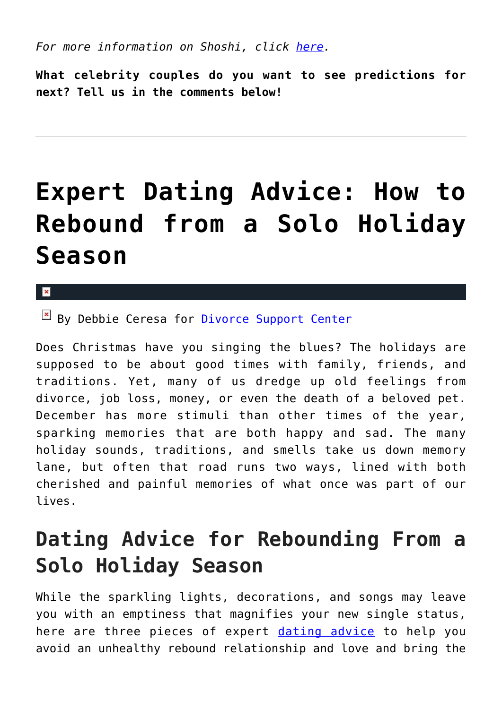*For more information on Shoshi, click [here.](http://cupidspulse.com/relationship-dating-experts/yolanda-shoshana-shoshi-lifestyle-provocateur/)*

**What celebrity couples do you want to see predictions for next? Tell us in the comments below!**

## **[Expert Dating Advice: How to](https://cupidspulse.com/102067/expert-dating-advice-how-to-rebound-from-a-solo-holiday-season/) [Rebound from a Solo Holiday](https://cupidspulse.com/102067/expert-dating-advice-how-to-rebound-from-a-solo-holiday-season/) [Season](https://cupidspulse.com/102067/expert-dating-advice-how-to-rebound-from-a-solo-holiday-season/)**

#### $\pmb{\times}$

By Debbie Ceresa for *[Divorce Support Center](http://www.divorcesupportcenter.com/)* 

Does Christmas have you singing the blues? The holidays are supposed to be about good times with family, friends, and traditions. Yet, many of us dredge up old feelings from divorce, job loss, money, or even the death of a beloved pet. December has more stimuli than other times of the year, sparking memories that are both happy and sad. The many holiday sounds, traditions, and smells take us down memory lane, but often that road runs two ways, lined with both cherished and painful memories of what once was part of our lives.

### **Dating Advice for Rebounding From a Solo Holiday Season**

While the sparkling lights, decorations, and songs may leave you with an emptiness that magnifies your new single status, here are three pieces of expert [dating advice](http://cupidspulse.com/dating/date-ideas/) to help you avoid an unhealthy rebound relationship and love and bring the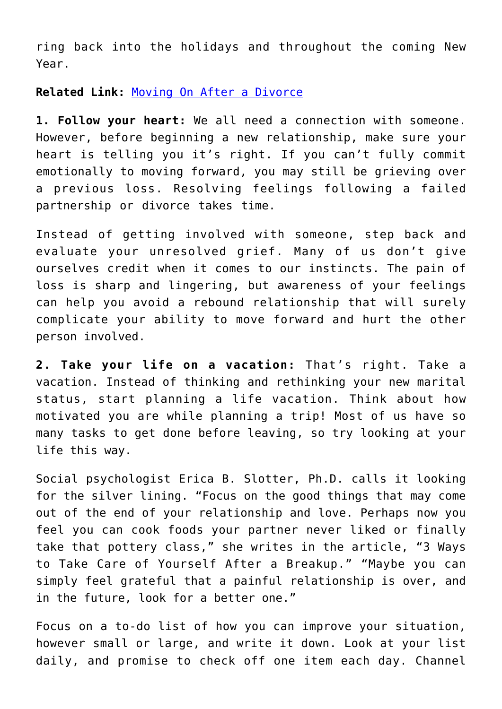ring back into the holidays and throughout the coming New Year.

**Related Link:** [Moving On After a Divorce](http://cupidspulse.com/97402/expert-dating-advice-post-divorce/)

**1. Follow your heart:** We all need a connection with someone. However, before beginning a new relationship, make sure your heart is telling you it's right. If you can't fully commit emotionally to moving forward, you may still be grieving over a previous loss. Resolving feelings following a failed partnership or divorce takes time.

Instead of getting involved with someone, step back and evaluate your unresolved grief. Many of us don't give ourselves credit when it comes to our instincts. The pain of loss is sharp and lingering, but awareness of your feelings can help you avoid a rebound relationship that will surely complicate your ability to move forward and hurt the other person involved.

**2. Take your life on a vacation:** That's right. Take a vacation. Instead of thinking and rethinking your new marital status, start planning a life vacation. Think about how motivated you are while planning a trip! Most of us have so many tasks to get done before leaving, so try looking at your life this way.

Social psychologist Erica B. Slotter, Ph.D. calls it looking for the silver lining. "Focus on the good things that may come out of the end of your relationship and love. Perhaps now you feel you can cook foods your partner never liked or finally take that pottery class," she writes in the article, "3 Ways to Take Care of Yourself After a Breakup." "Maybe you can simply feel grateful that a painful relationship is over, and in the future, look for a better one."

Focus on a to-do list of how you can improve your situation, however small or large, and write it down. Look at your list daily, and promise to check off one item each day. Channel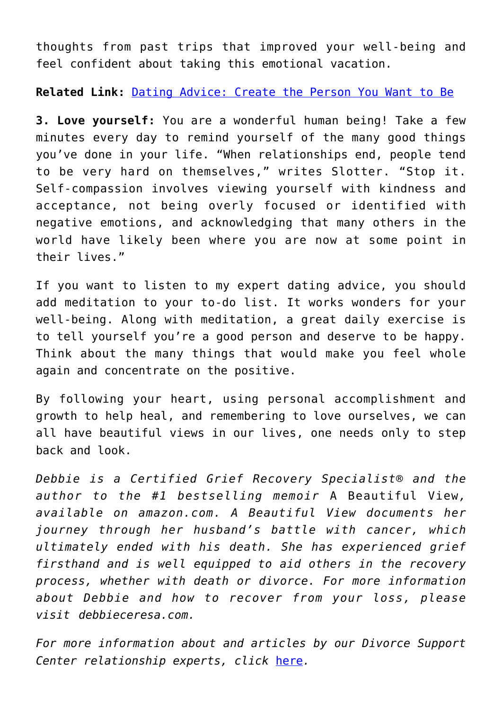thoughts from past trips that improved your well-being and feel confident about taking this emotional vacation.

**Related Link:** [Dating Advice: Create the Person You Want to Be](http://cupidspulse.com/89290/dating-advice-create-yourself/)

**3. Love yourself:** You are a wonderful human being! Take a few minutes every day to remind yourself of the many good things you've done in your life. "When relationships end, people tend to be very hard on themselves," writes Slotter. "Stop it. Self-compassion involves viewing yourself with kindness and acceptance, not being overly focused or identified with negative emotions, and acknowledging that many others in the world have likely been where you are now at some point in their lives."

If you want to listen to my expert dating advice, you should add meditation to your to-do list. It works wonders for your well-being. Along with meditation, a great daily exercise is to tell yourself you're a good person and deserve to be happy. Think about the many things that would make you feel whole again and concentrate on the positive.

By following your heart, using personal accomplishment and growth to help heal, and remembering to love ourselves, we can all have beautiful views in our lives, one needs only to step back and look.

*Debbie is a Certified Grief Recovery Specialist® and the author to the #1 bestselling memoir* A Beautiful View*, available on amazon.com. A Beautiful View documents her journey through her husband's battle with cancer, which ultimately ended with his death. She has experienced grief firsthand and is well equipped to aid others in the recovery process, whether with death or divorce. For more information about Debbie and how to recover from your loss, please visit debbieceresa.com.*

*For more information about and articles by our Divorce Support Center relationship experts, click* [here](http://cupidspulse.com/relationship-dating-experts/hope-after-divorce-relationship-experts/)*.*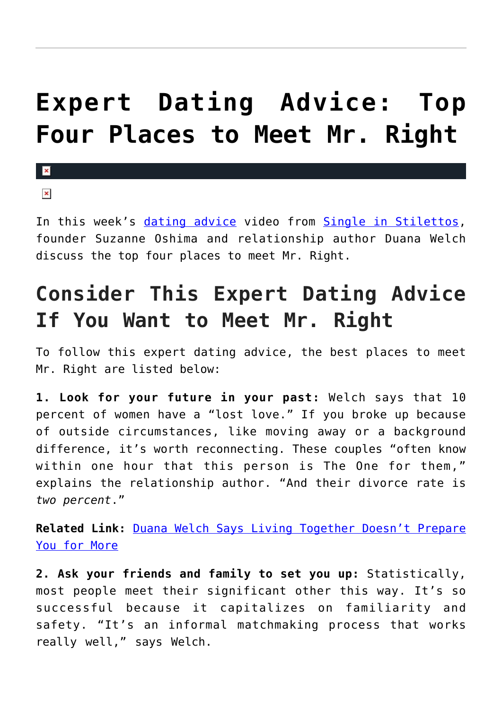## **[Expert Dating Advice: Top](https://cupidspulse.com/101994/expert-dating-advice-top-place-to-meet-mr-right-duana-welch/) [Four Places to Meet Mr. Right](https://cupidspulse.com/101994/expert-dating-advice-top-place-to-meet-mr-right-duana-welch/)**

### $\overline{\mathbf{x}}$

 $\pmb{\times}$ 

In this week's [dating advice](http://cupidspulse.com/dating/date-ideas/) video from [Single in Stilettos,](http://www.singleinstilettos.com) founder Suzanne Oshima and relationship author Duana Welch discuss the top four places to meet Mr. Right.

## **Consider This Expert Dating Advice If You Want to Meet Mr. Right**

To follow this expert dating advice, the best places to meet Mr. Right are listed below:

**1. Look for your future in your past:** Welch says that 10 percent of women have a "lost love." If you broke up because of outside circumstances, like moving away or a background difference, it's worth reconnecting. These couples "often know within one hour that this person is The One for them," explains the relationship author. "And their divorce rate is *two percent*."

**Related Link:** [Duana Welch Says Living Together Doesn't Prepare](http://cupidspulse.com/101118/relationship-advice-living-together-prepare-for-marriage/) [You for More](http://cupidspulse.com/101118/relationship-advice-living-together-prepare-for-marriage/)

**2. Ask your friends and family to set you up:** Statistically, most people meet their significant other this way. It's so successful because it capitalizes on familiarity and safety. "It's an informal matchmaking process that works really well," says Welch.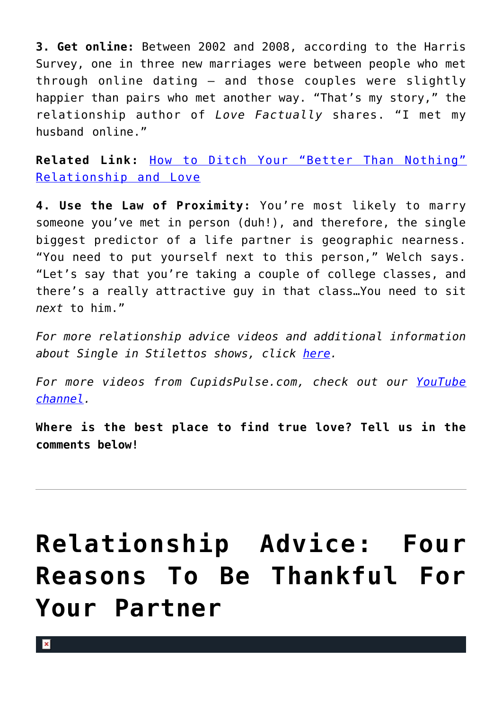**3. Get online:** Between 2002 and 2008, according to the Harris Survey, one in three new marriages were between people who met through online dating — and those couples were slightly happier than pairs who met another way. "That's my story," the relationship author of *Love Factually* shares. "I met my husband online."

**Related Link:** [How to Ditch Your "Better Than Nothing"](http://cupidspulse.com/100024/breaking-up-ditch-your-relationship-and-love/) [Relationship and Love](http://cupidspulse.com/100024/breaking-up-ditch-your-relationship-and-love/)

**4. Use the Law of Proximity:** You're most likely to marry someone you've met in person (duh!), and therefore, the single biggest predictor of a life partner is geographic nearness. "You need to put yourself next to this person," Welch says. "Let's say that you're taking a couple of college classes, and there's a really attractive guy in that class…You need to sit *next* to him."

*For more relationship advice videos and additional information about Single in Stilettos shows, click [here.](http://cupidspulse.com/suzanne-oshima-single-in-stilettos-shows/)*

*For more videos from CupidsPulse.com, check out our [YouTube](https://www.youtube.com/channel/UCP4G7LiNJEVZ7U0M24qXmfg) [channel](https://www.youtube.com/channel/UCP4G7LiNJEVZ7U0M24qXmfg).*

**Where is the best place to find true love? Tell us in the comments below!**

## **[Relationship Advice: Four](https://cupidspulse.com/101887/relationship-advice-be-thankful-for-your-partner/) [Reasons To Be Thankful For](https://cupidspulse.com/101887/relationship-advice-be-thankful-for-your-partner/) [Your Partner](https://cupidspulse.com/101887/relationship-advice-be-thankful-for-your-partner/)**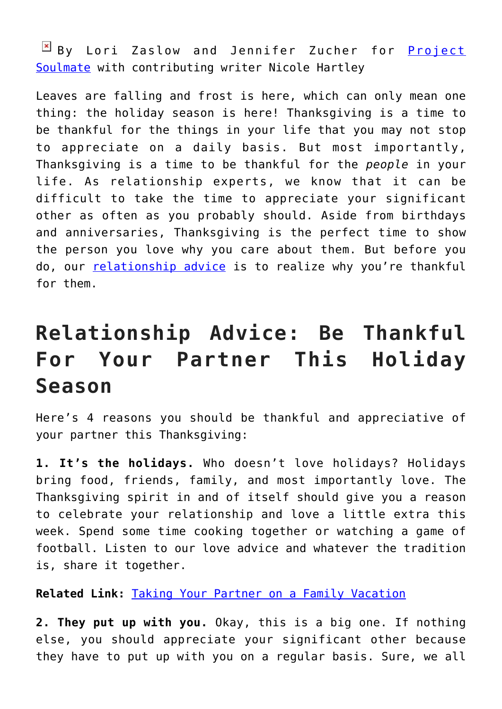By Lori Zaslow and Jennifer Zucher for **[Project](http://www.projectsoulmate.com/)** [Soulmate](http://www.projectsoulmate.com/) with contributing writer Nicole Hartley

Leaves are falling and frost is here, which can only mean one thing: the holiday season is here! Thanksgiving is a time to be thankful for the things in your life that you may not stop to appreciate on a daily basis. But most importantly, Thanksgiving is a time to be thankful for the *people* in your life. As relationship experts, we know that it can be difficult to take the time to appreciate your significant other as often as you probably should. Aside from birthdays and anniversaries, Thanksgiving is the perfect time to show the person you love why you care about them. But before you do, our [relationship advice](http://cupidspulse.com/relationship-experts/) is to realize why you're thankful for them.

## **Relationship Advice: Be Thankful For Your Partner This Holiday Season**

Here's 4 reasons you should be thankful and appreciative of your partner this Thanksgiving:

**1. It's the holidays.** Who doesn't love holidays? Holidays bring food, friends, family, and most importantly love. The Thanksgiving spirit in and of itself should give you a reason to celebrate your relationship and love a little extra this week. Spend some time cooking together or watching a game of football. Listen to our love advice and whatever the tradition is, share it together.

**Related Link:** [Taking Your Partner on a Family Vacation](http://cupidspulse.com/75534/project-soulmate-taking-your-partner-on-family-vacation/)

**2. They put up with you.** Okay, this is a big one. If nothing else, you should appreciate your significant other because they have to put up with you on a regular basis. Sure, we all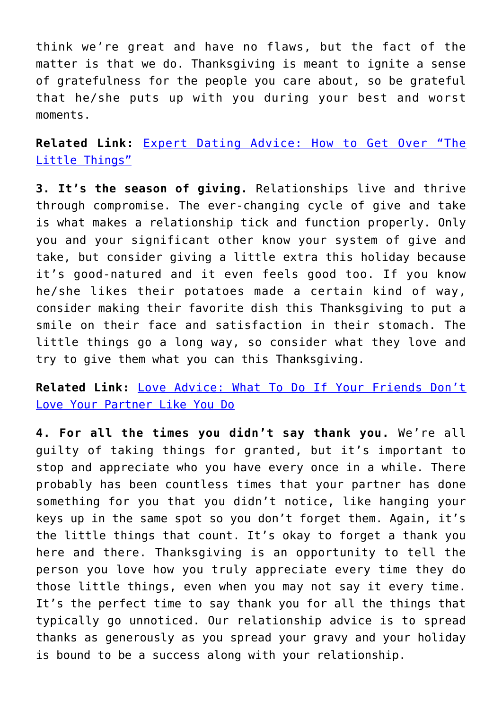think we're great and have no flaws, but the fact of the matter is that we do. Thanksgiving is meant to ignite a sense of gratefulness for the people you care about, so be grateful that he/she puts up with you during your best and worst moments.

**Related Link:** [Expert Dating Advice: How to Get Over "The](http://cupidspulse.com/99769/expert-dating-advice-project-soulmate-get-over-the-little-things/) [Little Things"](http://cupidspulse.com/99769/expert-dating-advice-project-soulmate-get-over-the-little-things/)

**3. It's the season of giving.** Relationships live and thrive through compromise. The ever-changing cycle of give and take is what makes a relationship tick and function properly. Only you and your significant other know your system of give and take, but consider giving a little extra this holiday because it's good-natured and it even feels good too. If you know he/she likes their potatoes made a certain kind of way, consider making their favorite dish this Thanksgiving to put a smile on their face and satisfaction in their stomach. The little things go a long way, so consider what they love and try to give them what you can this Thanksgiving.

**Related Link:** [Love Advice: What To Do If Your Friends Don't](http://cupidspulse.com/99013/love-advice-friends-dont-love-your-partner/) [Love Your Partner Like You Do](http://cupidspulse.com/99013/love-advice-friends-dont-love-your-partner/)

**4. For all the times you didn't say thank you.** We're all guilty of taking things for granted, but it's important to stop and appreciate who you have every once in a while. There probably has been countless times that your partner has done something for you that you didn't notice, like hanging your keys up in the same spot so you don't forget them. Again, it's the little things that count. It's okay to forget a thank you here and there. Thanksgiving is an opportunity to tell the person you love how you truly appreciate every time they do those little things, even when you may not say it every time. It's the perfect time to say thank you for all the things that typically go unnoticed. Our relationship advice is to spread thanks as generously as you spread your gravy and your holiday is bound to be a success along with your relationship.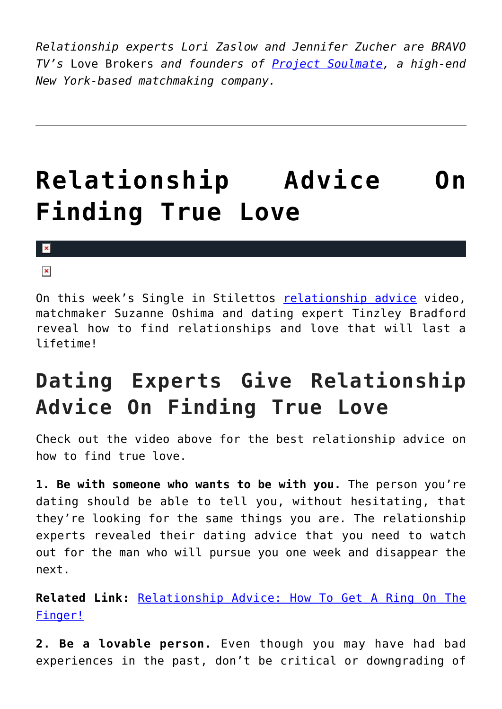*Relationship experts Lori Zaslow and Jennifer Zucher are BRAVO TV's* Love Brokers *and founders of [Project Soulmate](http://cupidspulse.com/relationship-dating-experts/lori-zaslow-jennifer-zucher-project-soulmate/), a high-end New York-based matchmaking company.*

# **[Relationship Advice On](https://cupidspulse.com/101777/relationship-advice-finding-true-relationships-and-love/) [Finding True Love](https://cupidspulse.com/101777/relationship-advice-finding-true-relationships-and-love/)**

#### $\mathbf{x}$

#### $\pmb{\times}$

On this week's Single in Stilettos [relationship advice](http://cupidspulse.com/relationship-experts/) video, matchmaker Suzanne Oshima and dating expert Tinzley Bradford reveal how to find relationships and love that will last a lifetime!

## **Dating Experts Give Relationship Advice On Finding True Love**

Check out the video above for the best relationship advice on how to find true love.

**1. Be with someone who wants to be with you.** The person you're dating should be able to tell you, without hesitating, that they're looking for the same things you are. The relationship experts revealed their dating advice that you need to watch out for the man who will pursue you one week and disappear the next.

**Related Link:** [Relationship Advice: How To Get A Ring On The](http://cupidspulse.com/100590/relationship-advice-get-a-ring-on-the-finger/) [Finger!](http://cupidspulse.com/100590/relationship-advice-get-a-ring-on-the-finger/)

**2. Be a lovable person.** Even though you may have had bad experiences in the past, don't be critical or downgrading of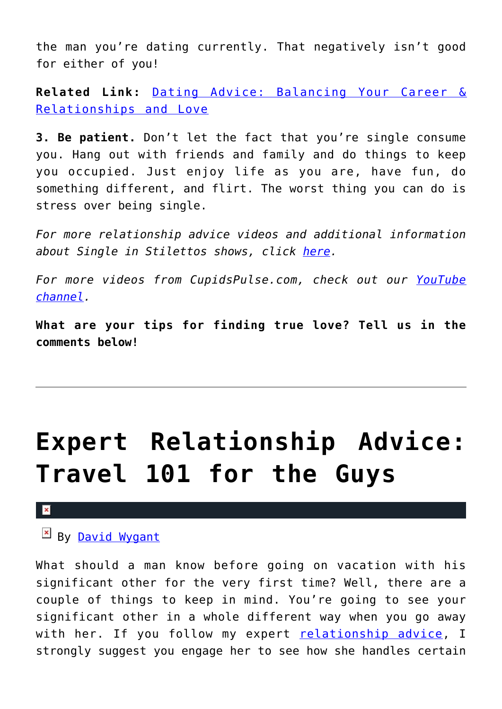the man you're dating currently. That negatively isn't good for either of you!

**Related Link:** [Dating Advice: Balancing Your Career &](http://cupidspulse.com/101543/dating-advice-balancing-career-relationships-and-love/) [Relationships and Love](http://cupidspulse.com/101543/dating-advice-balancing-career-relationships-and-love/)

**3. Be patient.** Don't let the fact that you're single consume you. Hang out with friends and family and do things to keep you occupied. Just enjoy life as you are, have fun, do something different, and flirt. The worst thing you can do is stress over being single.

*For more relationship advice videos and additional information about Single in Stilettos shows, click [here.](http://cupidspulse.com/suzanne-oshima-single-in-stilettos-shows/)*

*For more videos from CupidsPulse.com, check out our [YouTube](https://www.youtube.com/channel/UCP4G7LiNJEVZ7U0M24qXmfg) [channel](https://www.youtube.com/channel/UCP4G7LiNJEVZ7U0M24qXmfg).*

**What are your tips for finding true love? Tell us in the comments below!**

# **[Expert Relationship Advice:](https://cupidspulse.com/101757/expert-relationship-advice-travel-101/) [Travel 101 for the Guys](https://cupidspulse.com/101757/expert-relationship-advice-travel-101/)**

#### $\pmb{\times}$

By [David Wygant](http://cupidspulse.com/relationship-dating-experts/david-wygant-dating-coach/)

What should a man know before going on vacation with his significant other for the very first time? Well, there are a couple of things to keep in mind. You're going to see your significant other in a whole different way when you go away with her. If you follow my expert [relationship advice](http://cupidspulse.com/relationship-experts/), I strongly suggest you engage her to see how she handles certain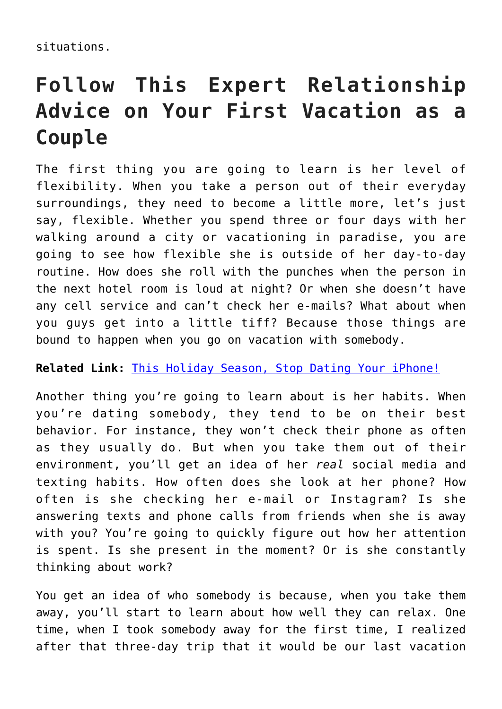situations.

## **Follow This Expert Relationship Advice on Your First Vacation as a Couple**

The first thing you are going to learn is her level of flexibility. When you take a person out of their everyday surroundings, they need to become a little more, let's just say, flexible. Whether you spend three or four days with her walking around a city or vacationing in paradise, you are going to see how flexible she is outside of her day-to-day routine. How does she roll with the punches when the person in the next hotel room is loud at night? Or when she doesn't have any cell service and can't check her e-mails? What about when you guys get into a little tiff? Because those things are bound to happen when you go on vacation with somebody.

**Related Link:** [This Holiday Season, Stop Dating Your iPhone!](http://cupidspulse.com/84200/david-wygant-holidays-stop-dating-iphone/)

Another thing you're going to learn about is her habits. When you're dating somebody, they tend to be on their best behavior. For instance, they won't check their phone as often as they usually do. But when you take them out of their environment, you'll get an idea of her *real* social media and texting habits. How often does she look at her phone? How often is she checking her e-mail or Instagram? Is she answering texts and phone calls from friends when she is away with you? You're going to quickly figure out how her attention is spent. Is she present in the moment? Or is she constantly thinking about work?

You get an idea of who somebody is because, when you take them away, you'll start to learn about how well they can relax. One time, when I took somebody away for the first time, I realized after that three-day trip that it would be our last vacation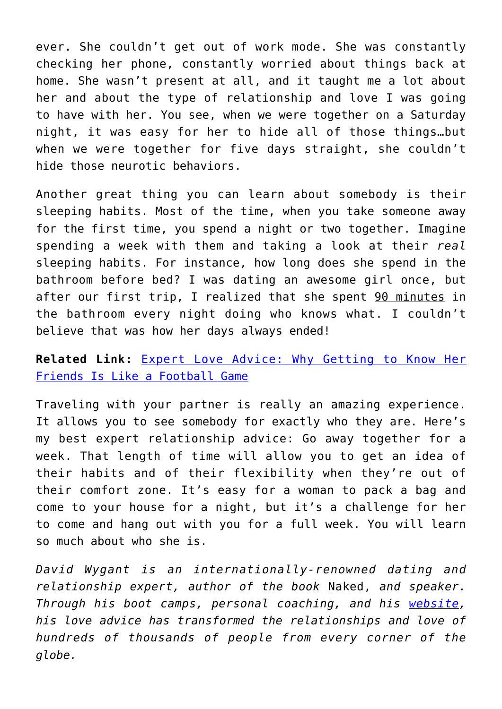ever. She couldn't get out of work mode. She was constantly checking her phone, constantly worried about things back at home. She wasn't present at all, and it taught me a lot about her and about the type of relationship and love I was going to have with her. You see, when we were together on a Saturday night, it was easy for her to hide all of those things…but when we were together for five days straight, she couldn't hide those neurotic behaviors.

Another great thing you can learn about somebody is their sleeping habits. Most of the time, when you take someone away for the first time, you spend a night or two together. Imagine spending a week with them and taking a look at their *real* sleeping habits. For instance, how long does she spend in the bathroom before bed? I was dating an awesome girl once, but after our first trip, I realized that she spent 90 minutes in the bathroom every night doing who knows what. I couldn't believe that was how her days always ended!

#### **Related Link:** [Expert Love Advice: Why Getting to Know Her](http://cupidspulse.com/90025/expert-love-advice-getting-to-know-her-friends/) [Friends Is Like a Football Game](http://cupidspulse.com/90025/expert-love-advice-getting-to-know-her-friends/)

Traveling with your partner is really an amazing experience. It allows you to see somebody for exactly who they are. Here's my best expert relationship advice: Go away together for a week. That length of time will allow you to get an idea of their habits and of their flexibility when they're out of their comfort zone. It's easy for a woman to pack a bag and come to your house for a night, but it's a challenge for her to come and hang out with you for a full week. You will learn so much about who she is.

*David Wygant is an internationally-renowned dating and relationship expert, author of the book* Naked, *and speaker. Through his boot camps, personal coaching, and his [website,](http://www.davidwygant.com/) his love advice has transformed the relationships and love of hundreds of thousands of people from every corner of the globe.*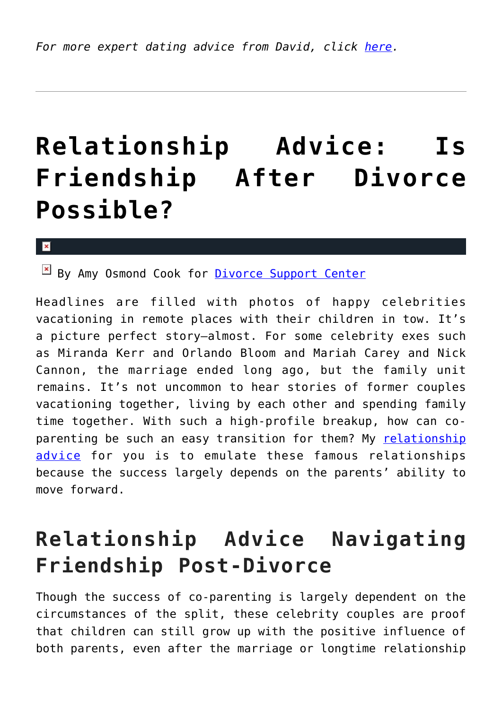# **[Relationship Advice: Is](https://cupidspulse.com/101670/relationship-advice-friendship-after-divorce/) [Friendship After Divorce](https://cupidspulse.com/101670/relationship-advice-friendship-after-divorce/) [Possible?](https://cupidspulse.com/101670/relationship-advice-friendship-after-divorce/)**

#### x

By Amy Osmond Cook for [Divorce Support Center](http://www.divorcesupportcenter.com/)

Headlines are filled with photos of happy celebrities vacationing in remote places with their children in tow. It's a picture perfect story—almost. For some celebrity exes such as Miranda Kerr and Orlando Bloom and Mariah Carey and Nick Cannon, the marriage ended long ago, but the family unit remains. It's not uncommon to hear stories of former couples vacationing together, living by each other and spending family time together. With such a high-profile breakup, how can coparenting be such an easy transition for them? My [relationship](http://cupidspulse.com/relationship-experts/) [advice](http://cupidspulse.com/relationship-experts/) for you is to emulate these famous relationships because the success largely depends on the parents' ability to move forward.

### **Relationship Advice Navigating Friendship Post-Divorce**

Though the success of co-parenting is largely dependent on the circumstances of the split, these celebrity couples are proof that children can still grow up with the positive influence of both parents, even after the marriage or longtime relationship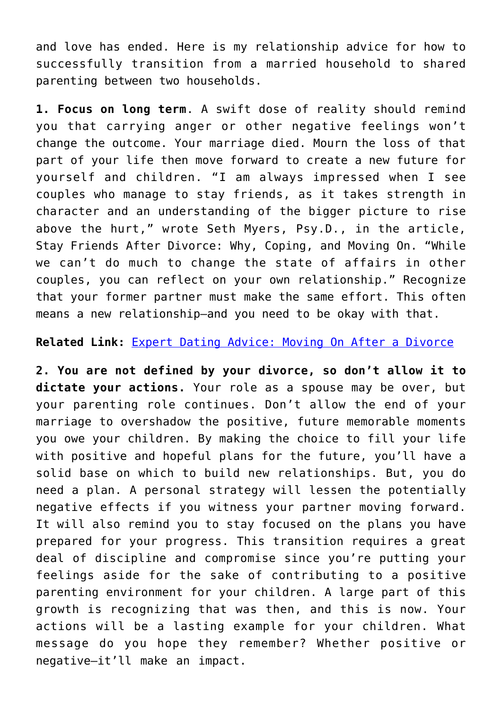and love has ended. Here is my relationship advice for how to successfully transition from a married household to shared parenting between two households.

**1. Focus on long term**. A swift dose of reality should remind you that carrying anger or other negative feelings won't change the outcome. Your marriage died. Mourn the loss of that part of your life then move forward to create a new future for yourself and children. "I am always impressed when I see couples who manage to stay friends, as it takes strength in character and an understanding of the bigger picture to rise above the hurt," wrote Seth Myers, Psy.D., in the article, Stay Friends After Divorce: Why, Coping, and Moving On. "While we can't do much to change the state of affairs in other couples, you can reflect on your own relationship." Recognize that your former partner must make the same effort. This often means a new relationship—and you need to be okay with that.

#### **Related Link:** [Expert Dating Advice: Moving On After a Divorce](http://cupidspulse.com/97402/expert-dating-advice-post-divorce/)

**2. You are not defined by your divorce, so don't allow it to dictate your actions.** Your role as a spouse may be over, but your parenting role continues. Don't allow the end of your marriage to overshadow the positive, future memorable moments you owe your children. By making the choice to fill your life with positive and hopeful plans for the future, you'll have a solid base on which to build new relationships. But, you do need a plan. A personal strategy will lessen the potentially negative effects if you witness your partner moving forward. It will also remind you to stay focused on the plans you have prepared for your progress. This transition requires a great deal of discipline and compromise since you're putting your feelings aside for the sake of contributing to a positive parenting environment for your children. A large part of this growth is recognizing that was then, and this is now. Your actions will be a lasting example for your children. What message do you hope they remember? Whether positive or negative—it'll make an impact.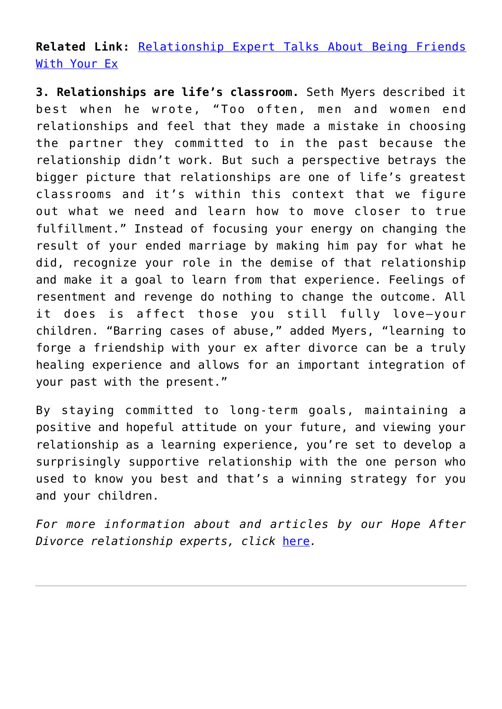**Related Link:** [Relationship Expert Talks About Being Friends](http://cupidspulse.com/98984/relationship-expert-being-friends-with-your-ex/) [With Your Ex](http://cupidspulse.com/98984/relationship-expert-being-friends-with-your-ex/)

**3. Relationships are life's classroom.** Seth Myers described it best when he wrote, "Too often, men and women end relationships and feel that they made a mistake in choosing the partner they committed to in the past because the relationship didn't work. But such a perspective betrays the bigger picture that relationships are one of life's greatest classrooms and it's within this context that we figure out what we need and learn how to move closer to true fulfillment." Instead of focusing your energy on changing the result of your ended marriage by making him pay for what he did, recognize your role in the demise of that relationship and make it a goal to learn from that experience. Feelings of resentment and revenge do nothing to change the outcome. All it does is affect those you still fully love—your children. "Barring cases of abuse," added Myers, "learning to forge a friendship with your ex after divorce can be a truly healing experience and allows for an important integration of your past with the present."

By staying committed to long-term goals, maintaining a positive and hopeful attitude on your future, and viewing your relationship as a learning experience, you're set to develop a surprisingly supportive relationship with the one person who used to know you best and that's a winning strategy for you and your children.

*For more information about and articles by our Hope After Divorce relationship experts, click* [here](http://cupidspulse.com/relationship-dating-experts/hope-after-divorce-relationship-experts/)*.*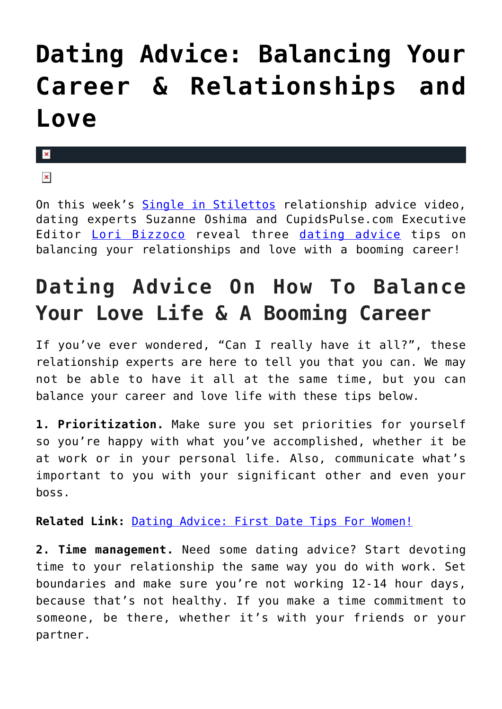# **[Dating Advice: Balancing Your](https://cupidspulse.com/101543/dating-advice-balancing-career-relationships-and-love/) [Career & Relationships and](https://cupidspulse.com/101543/dating-advice-balancing-career-relationships-and-love/) [Love](https://cupidspulse.com/101543/dating-advice-balancing-career-relationships-and-love/)**

#### $\pmb{\times}$

#### $\pmb{\times}$

On this week's [Single in Stilettos](http://www.singleinstilettos.com/) relationship advice video, dating experts Suzanne Oshima and CupidsPulse.com Executive Editor [Lori Bizzoco](http://cupidspulse.com/104596/lori-bizzoco/) reveal three [dating advice](http://cupidspulse.com/dating/date-ideas/) tips on balancing your relationships and love with a booming career!

## **Dating Advice On How To Balance Your Love Life & A Booming Career**

If you've ever wondered, "Can I really have it all?", these relationship experts are here to tell you that you can. We may not be able to have it all at the same time, but you can balance your career and love life with these tips below.

**1. Prioritization.** Make sure you set priorities for yourself so you're happy with what you've accomplished, whether it be at work or in your personal life. Also, communicate what's important to you with your significant other and even your boss.

**Related Link:** [Dating Advice: First Date Tips For Women!](http://cupidspulse.com/101471/dating-advice-first-date-tips/)

**2. Time management.** Need some dating advice? Start devoting time to your relationship the same way you do with work. Set boundaries and make sure you're not working 12-14 hour days, because that's not healthy. If you make a time commitment to someone, be there, whether it's with your friends or your partner.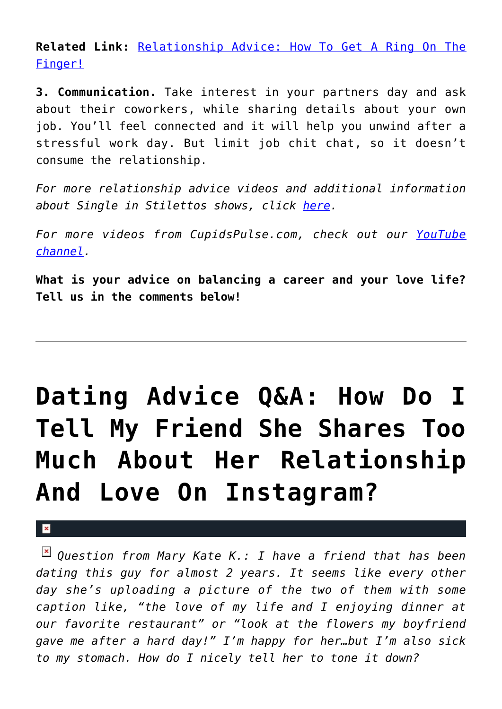**Related Link:** [Relationship Advice: How To Get A Ring On The](http://cupidspulse.com/100590/relationship-advice-get-a-ring-on-the-finger/) [Finger!](http://cupidspulse.com/100590/relationship-advice-get-a-ring-on-the-finger/)

**3. Communication.** Take interest in your partners day and ask about their coworkers, while sharing details about your own job. You'll feel connected and it will help you unwind after a stressful work day. But limit job chit chat, so it doesn't consume the relationship.

*For more relationship advice videos and additional information about Single in Stilettos shows, click [here.](http://cupidspulse.com/suzanne-oshima-single-in-stilettos-shows/)*

*For more videos from CupidsPulse.com, check out our [YouTube](https://www.youtube.com/channel/UCP4G7LiNJEVZ7U0M24qXmfg) [channel](https://www.youtube.com/channel/UCP4G7LiNJEVZ7U0M24qXmfg).*

**What is your advice on balancing a career and your love life? Tell us in the comments below!**

# **[Dating Advice Q&A: How Do I](https://cupidspulse.com/101474/dating-advice-friend-shares-too-much-about-relationship-and-love/) [Tell My Friend She Shares Too](https://cupidspulse.com/101474/dating-advice-friend-shares-too-much-about-relationship-and-love/) [Much About Her Relationship](https://cupidspulse.com/101474/dating-advice-friend-shares-too-much-about-relationship-and-love/) [And Love On Instagram?](https://cupidspulse.com/101474/dating-advice-friend-shares-too-much-about-relationship-and-love/)**

 $\mathbf{x}$ 

*Question from Mary Kate K.: I have a friend that has been dating this guy for almost 2 years. It seems like every other day she's uploading a picture of the two of them with some caption like, "the love of my life and I enjoying dinner at our favorite restaurant" or "look at the flowers my boyfriend gave me after a hard day!" I'm happy for her…but I'm also sick to my stomach. How do I nicely tell her to tone it down?*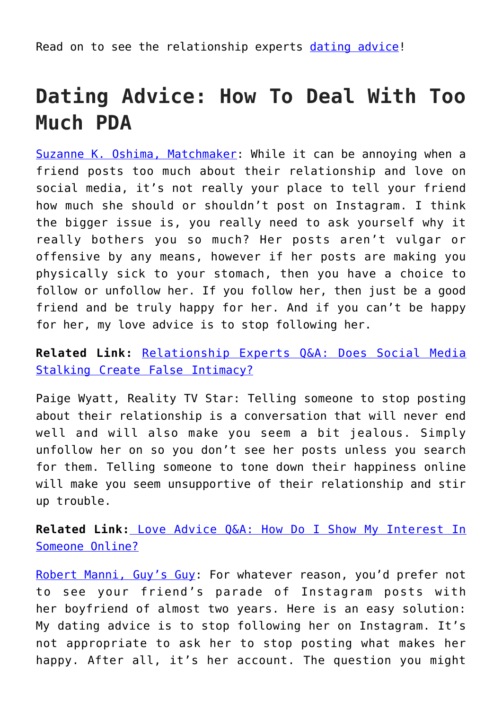Read on to see the relationship experts [dating advice](http://cupidspulse.com/dating/date-ideas/)!

### **Dating Advice: How To Deal With Too Much PDA**

[Suzanne K. Oshima, Matchmaker:](http://www.dreambachelor.com/) While it can be annoying when a friend posts too much about their relationship and love on social media, it's not really your place to tell your friend how much she should or shouldn't post on Instagram. I think the bigger issue is, you really need to ask yourself why it really bothers you so much? Her posts aren't vulgar or offensive by any means, however if her posts are making you physically sick to your stomach, then you have a choice to follow or unfollow her. If you follow her, then just be a good friend and be truly happy for her. And if you can't be happy for her, my love advice is to stop following her.

**Related Link:** [Relationship Experts Q&A: Does Social Media](http://cupidspulse.com/100298/relationship-experts-social-media-false-intimacy/) [Stalking Create False Intimacy?](http://cupidspulse.com/100298/relationship-experts-social-media-false-intimacy/)

Paige Wyatt, Reality TV Star: Telling someone to stop posting about their relationship is a conversation that will never end well and will also make you seem a bit jealous. Simply unfollow her on so you don't see her posts unless you search for them. Telling someone to tone down their happiness online will make you seem unsupportive of their relationship and stir up trouble.

**Related Link:** [Love Advice Q&A: How Do I Show My Interest In](http://cupidspulse.com/99478/love-advice-show-interest-online/) [Someone Online?](http://cupidspulse.com/99478/love-advice-show-interest-online/)

[Robert Manni, Guy's Guy:](http://www.robertmanni.com/) For whatever reason, you'd prefer not to see your friend's parade of Instagram posts with her boyfriend of almost two years. Here is an easy solution: My dating advice is to stop following her on Instagram. It's not appropriate to ask her to stop posting what makes her happy. After all, it's her account. The question you might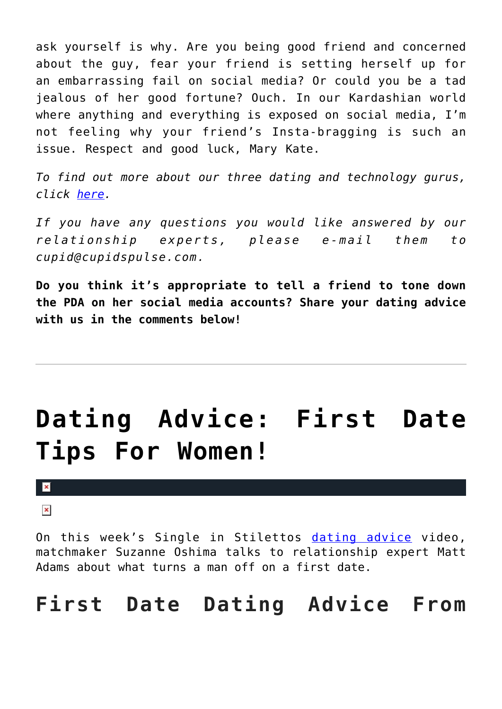ask yourself is why. Are you being good friend and concerned about the guy, fear your friend is setting herself up for an embarrassing fail on social media? Or could you be a tad jealous of her good fortune? Ouch. In our Kardashian world where anything and everything is exposed on social media, I'm not feeling why your friend's Insta-bragging is such an issue. Respect and good luck, Mary Kate.

*To find out more about our three dating and technology gurus, click [here.](http://cupidspulse.com/relationship-dating-experts/oshima-wyatt-manni-technology-experts/)*

*If you have any questions you would like answered by our relationship experts, please e-mail them to cupid@cupidspulse.com.* 

**Do you think it's appropriate to tell a friend to tone down the PDA on her social media accounts? Share your dating advice with us in the comments below!**

## **[Dating Advice: First Date](https://cupidspulse.com/101471/dating-advice-first-date-tips/) [Tips For Women!](https://cupidspulse.com/101471/dating-advice-first-date-tips/)**

#### ×

 $\pmb{\times}$ 

On this week's Single in Stilettos [dating advice](http://cupidspulse.com/dating/date-ideas/) video, matchmaker Suzanne Oshima talks to relationship expert Matt Adams about what turns a man off on a first date.

### **First Date Dating Advice From**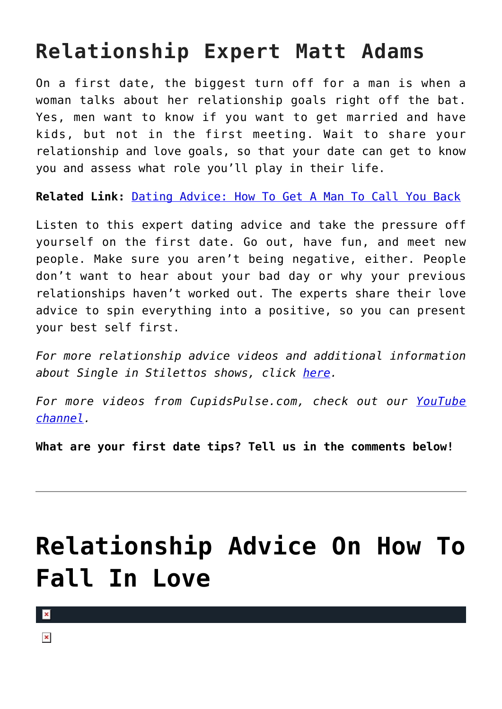## **Relationship Expert Matt Adams**

On a first date, the biggest turn off for a man is when a woman talks about her relationship goals right off the bat. Yes, men want to know if you want to get married and have kids, but not in the first meeting. Wait to share your relationship and love goals, so that your date can get to know you and assess what role you'll play in their life.

**Related Link:** [Dating Advice: How To Get A Man To Call You Back](http://cupidspulse.com/100293/dating-advice-dating-expert-calling-back/)

Listen to this expert dating advice and take the pressure off yourself on the first date. Go out, have fun, and meet new people. Make sure you aren't being negative, either. People don't want to hear about your bad day or why your previous relationships haven't worked out. The experts share their love advice to spin everything into a positive, so you can present your best self first.

*For more relationship advice videos and additional information about Single in Stilettos shows, click [here.](http://cupidspulse.com/suzanne-oshima-single-in-stilettos-shows/)*

*For more videos from CupidsPulse.com, check out our [YouTube](https://www.youtube.com/channel/UCP4G7LiNJEVZ7U0M24qXmfg) [channel](https://www.youtube.com/channel/UCP4G7LiNJEVZ7U0M24qXmfg).*

**What are your first date tips? Tell us in the comments below!**

## **[Relationship Advice On How To](https://cupidspulse.com/101388/relationship-advice-e-famously-single-fall-in-love/) [Fall In Love](https://cupidspulse.com/101388/relationship-advice-e-famously-single-fall-in-love/)**

 $\pmb{\times}$ 

 $\pmb{\times}$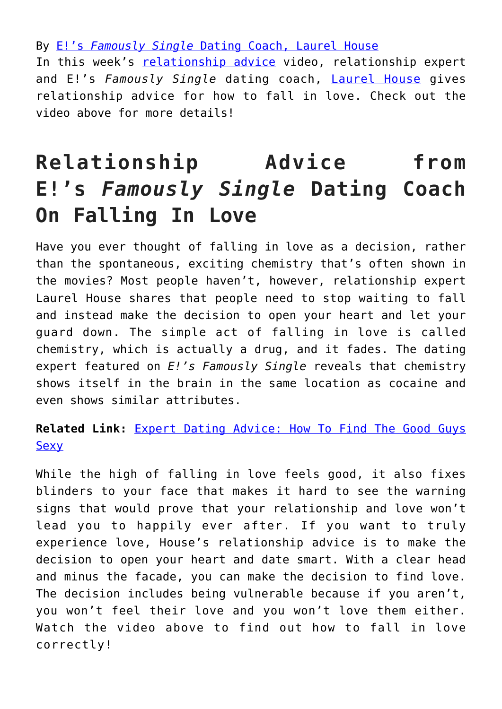By [E!'s](http://cupidspulse.com/relationship-dating-experts/laurel-house-no-games-love-dating-mentor/) *[Famously Single](http://cupidspulse.com/relationship-dating-experts/laurel-house-no-games-love-dating-mentor/)* [Dating Coach, Laurel House](http://cupidspulse.com/relationship-dating-experts/laurel-house-no-games-love-dating-mentor/) In this week's [relationship advice](http://cupidspulse.com/relationship-experts/) video, relationship expert and E!'s *Famously Single* dating coach, [Laurel House](http://www.laurelhouse.com/) gives relationship advice for how to fall in love. Check out the video above for more details!

## **Relationship Advice from E!'s** *Famously Single* **Dating Coach On Falling In Love**

Have you ever thought of falling in love as a decision, rather than the spontaneous, exciting chemistry that's often shown in the movies? Most people haven't, however, relationship expert Laurel House shares that people need to stop waiting to fall and instead make the decision to open your heart and let your guard down. The simple act of falling in love is called chemistry, which is actually a drug, and it fades. The dating expert featured on *E!'s Famously Single* reveals that chemistry shows itself in the brain in the same location as cocaine and even shows similar attributes.

**Related Link:** [Expert Dating Advice: How To Find The Good Guys](http://cupidspulse.com/91073/expert-dating-advice-laurel-house-good-guys/) **[Sexy](http://cupidspulse.com/91073/expert-dating-advice-laurel-house-good-guys/)** 

While the high of falling in love feels good, it also fixes blinders to your face that makes it hard to see the warning signs that would prove that your relationship and love won't lead you to happily ever after. If you want to truly experience love, House's relationship advice is to make the decision to open your heart and date smart. With a clear head and minus the facade, you can make the decision to find love. The decision includes being vulnerable because if you aren't, you won't feel their love and you won't love them either. Watch the video above to find out how to fall in love correctly!